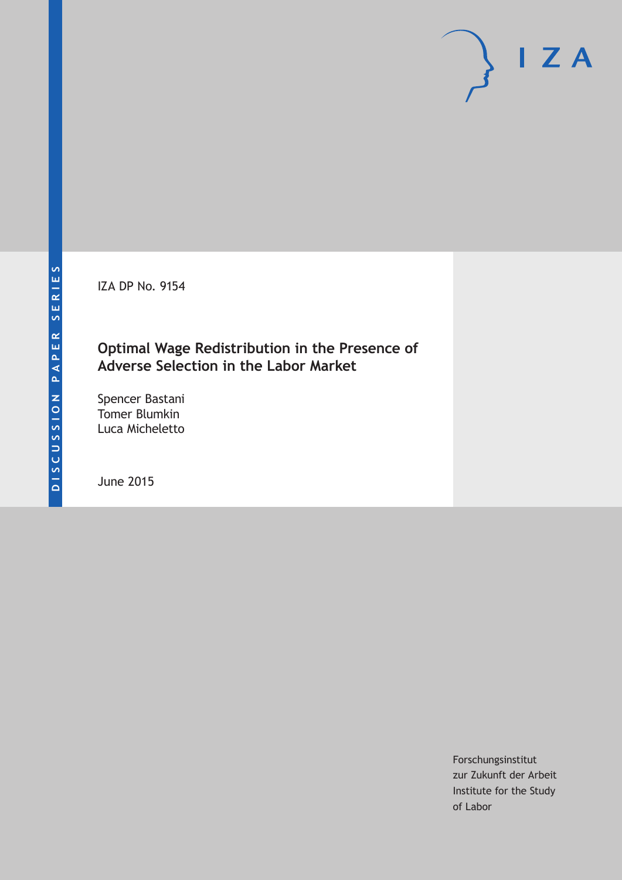IZA DP No. 9154

### **Optimal Wage Redistribution in the Presence of Adverse Selection in the Labor Market**

Spencer Bastani Tomer Blumkin Luca Micheletto

June 2015

Forschungsinstitut zur Zukunft der Arbeit Institute for the Study of Labor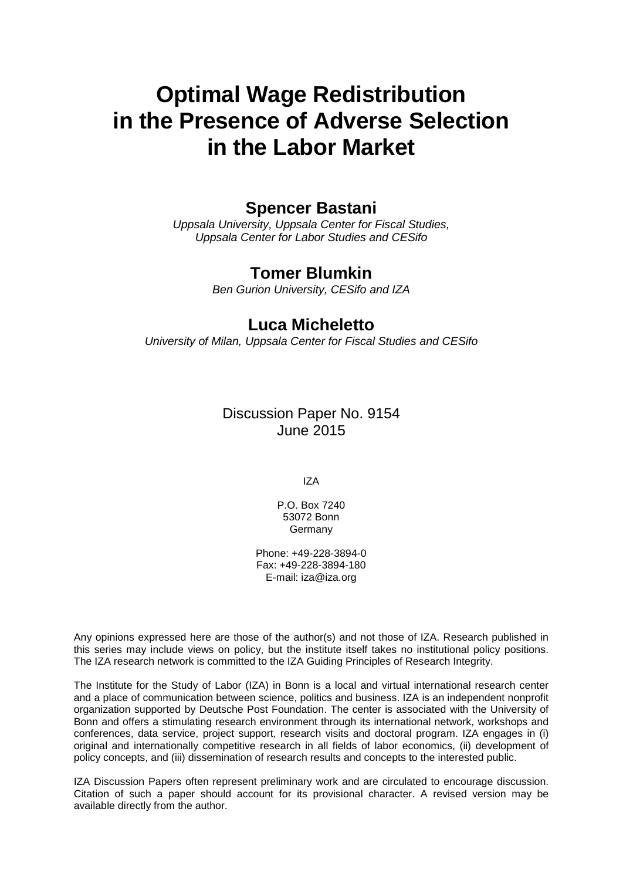# **Optimal Wage Redistribution in the Presence of Adverse Selection in the Labor Market**

### **Spencer Bastani**

*Uppsala University, Uppsala Center for Fiscal Studies, Uppsala Center for Labor Studies and CESifo*

### **Tomer Blumkin**

*Ben Gurion University, CESifo and IZA*

### **Luca Micheletto**

*University of Milan, Uppsala Center for Fiscal Studies and CESifo*

Discussion Paper No. 9154 June 2015

IZA

P.O. Box 7240 53072 Bonn **Germany** 

Phone: +49-228-3894-0 Fax: +49-228-3894-180 E-mail: iza@iza.org

Any opinions expressed here are those of the author(s) and not those of IZA. Research published in this series may include views on policy, but the institute itself takes no institutional policy positions. The IZA research network is committed to the IZA Guiding Principles of Research Integrity.

The Institute for the Study of Labor (IZA) in Bonn is a local and virtual international research center and a place of communication between science, politics and business. IZA is an independent nonprofit organization supported by Deutsche Post Foundation. The center is associated with the University of Bonn and offers a stimulating research environment through its international network, workshops and conferences, data service, project support, research visits and doctoral program. IZA engages in (i) original and internationally competitive research in all fields of labor economics, (ii) development of policy concepts, and (iii) dissemination of research results and concepts to the interested public.

<span id="page-1-0"></span>IZA Discussion Papers often represent preliminary work and are circulated to encourage discussion. Citation of such a paper should account for its provisional character. A revised version may be available directly from the author.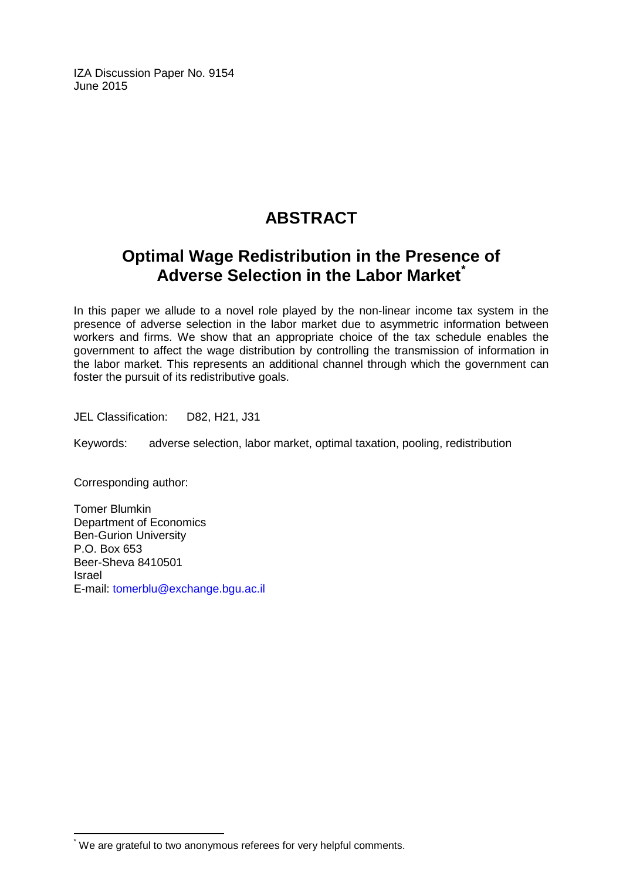IZA Discussion Paper No. 9154 June 2015

# **ABSTRACT**

# **Optimal Wage Redistribution in the Presence of Adverse Selection in the Labor Market[\\*](#page-1-0)**

In this paper we allude to a novel role played by the non-linear income tax system in the presence of adverse selection in the labor market due to asymmetric information between workers and firms. We show that an appropriate choice of the tax schedule enables the government to affect the wage distribution by controlling the transmission of information in the labor market. This represents an additional channel through which the government can foster the pursuit of its redistributive goals.

JEL Classification: D82, H21, J31

Keywords: adverse selection, labor market, optimal taxation, pooling, redistribution

Corresponding author:

Tomer Blumkin Department of Economics Ben-Gurion University P.O. Box 653 Beer-Sheva 8410501 Israel E-mail: [tomerblu@exchange.bgu.ac.il](mailto:tomerblu@exchange.bgu.ac.il)

\* We are grateful to two anonymous referees for very helpful comments.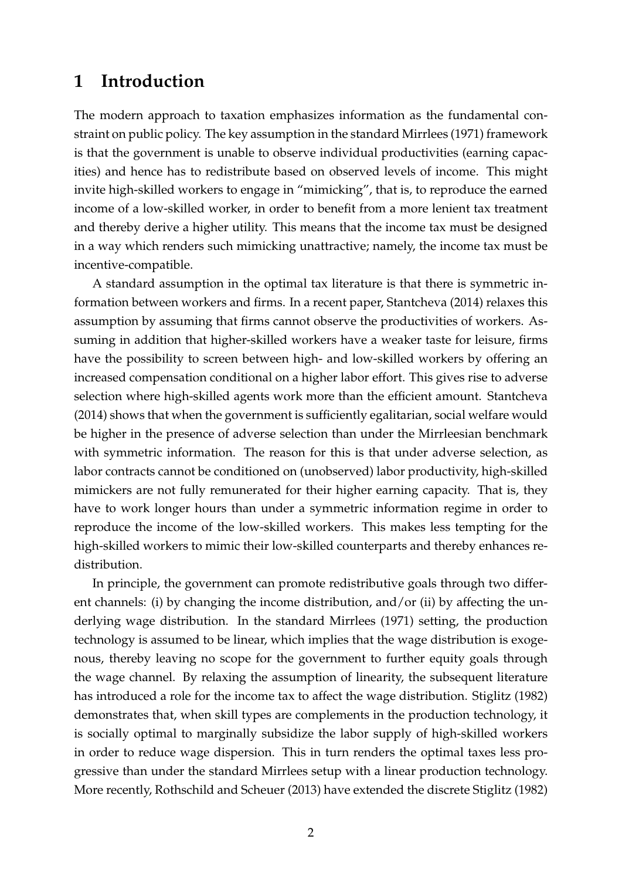# **1 Introduction**

The modern approach to taxation emphasizes information as the fundamental constraint on public policy. The key assumption in the standard Mirrlees (1971) framework is that the government is unable to observe individual productivities (earning capacities) and hence has to redistribute based on observed levels of income. This might invite high-skilled workers to engage in "mimicking", that is, to reproduce the earned income of a low-skilled worker, in order to benefit from a more lenient tax treatment and thereby derive a higher utility. This means that the income tax must be designed in a way which renders such mimicking unattractive; namely, the income tax must be incentive-compatible.

A standard assumption in the optimal tax literature is that there is symmetric information between workers and firms. In a recent paper, Stantcheva (2014) relaxes this assumption by assuming that firms cannot observe the productivities of workers. Assuming in addition that higher-skilled workers have a weaker taste for leisure, firms have the possibility to screen between high- and low-skilled workers by offering an increased compensation conditional on a higher labor effort. This gives rise to adverse selection where high-skilled agents work more than the efficient amount. Stantcheva (2014) shows that when the government is sufficiently egalitarian, social welfare would be higher in the presence of adverse selection than under the Mirrleesian benchmark with symmetric information. The reason for this is that under adverse selection, as labor contracts cannot be conditioned on (unobserved) labor productivity, high-skilled mimickers are not fully remunerated for their higher earning capacity. That is, they have to work longer hours than under a symmetric information regime in order to reproduce the income of the low-skilled workers. This makes less tempting for the high-skilled workers to mimic their low-skilled counterparts and thereby enhances redistribution.

In principle, the government can promote redistributive goals through two different channels: (i) by changing the income distribution, and/or (ii) by affecting the underlying wage distribution. In the standard Mirrlees (1971) setting, the production technology is assumed to be linear, which implies that the wage distribution is exogenous, thereby leaving no scope for the government to further equity goals through the wage channel. By relaxing the assumption of linearity, the subsequent literature has introduced a role for the income tax to affect the wage distribution. Stiglitz (1982) demonstrates that, when skill types are complements in the production technology, it is socially optimal to marginally subsidize the labor supply of high-skilled workers in order to reduce wage dispersion. This in turn renders the optimal taxes less progressive than under the standard Mirrlees setup with a linear production technology. More recently, [Rothschild and Scheuer](#page-33-0) [\(2013\)](#page-33-0) have extended the discrete Stiglitz (1982)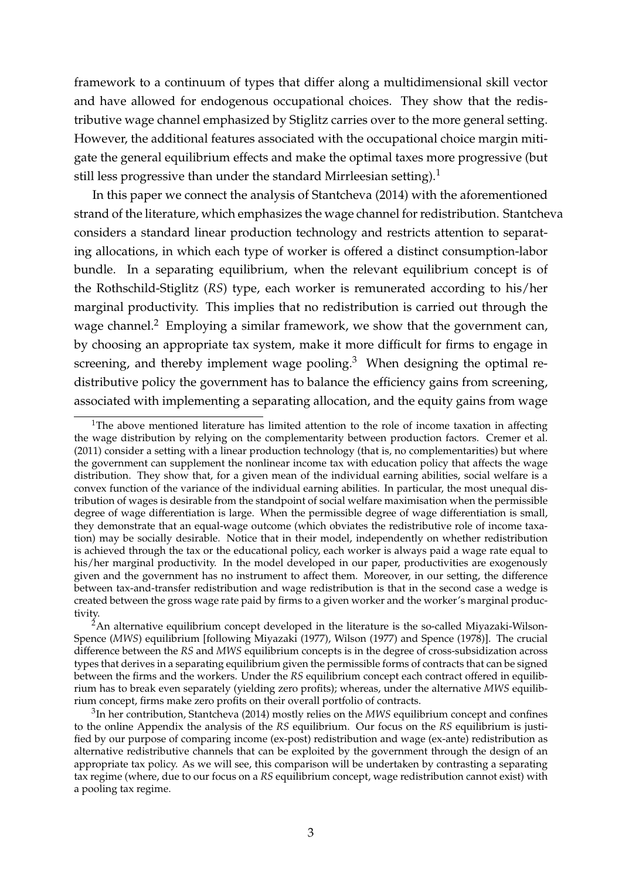framework to a continuum of types that differ along a multidimensional skill vector and have allowed for endogenous occupational choices. They show that the redistributive wage channel emphasized by Stiglitz carries over to the more general setting. However, the additional features associated with the occupational choice margin mitigate the general equilibrium effects and make the optimal taxes more progressive (but still less progressive than under the standard Mirrleesian setting).<sup>1</sup>

In this paper we connect the analysis of Stantcheva (2014) with the aforementioned strand of the literature, which emphasizes the wage channel for redistribution. Stantcheva considers a standard linear production technology and restricts attention to separating allocations, in which each type of worker is offered a distinct consumption-labor bundle. In a separating equilibrium, when the relevant equilibrium concept is of the Rothschild-Stiglitz (*RS*) type, each worker is remunerated according to his/her marginal productivity. This implies that no redistribution is carried out through the wage channel.<sup>2</sup> Employing a similar framework, we show that the government can, by choosing an appropriate tax system, make it more difficult for firms to engage in screening, and thereby implement wage pooling. $3$  When designing the optimal redistributive policy the government has to balance the efficiency gains from screening, associated with implementing a separating allocation, and the equity gains from wage

<sup>&</sup>lt;sup>1</sup>The above mentioned literature has limited attention to the role of income taxation in affecting the wage distribution by relying on the complementarity between production factors. [Cremer et al.](#page-32-0) [\(2011\)](#page-32-0) consider a setting with a linear production technology (that is, no complementarities) but where the government can supplement the nonlinear income tax with education policy that affects the wage distribution. They show that, for a given mean of the individual earning abilities, social welfare is a convex function of the variance of the individual earning abilities. In particular, the most unequal distribution of wages is desirable from the standpoint of social welfare maximisation when the permissible degree of wage differentiation is large. When the permissible degree of wage differentiation is small, they demonstrate that an equal-wage outcome (which obviates the redistributive role of income taxation) may be socially desirable. Notice that in their model, independently on whether redistribution is achieved through the tax or the educational policy, each worker is always paid a wage rate equal to his/her marginal productivity. In the model developed in our paper, productivities are exogenously given and the government has no instrument to affect them. Moreover, in our setting, the difference between tax-and-transfer redistribution and wage redistribution is that in the second case a wedge is created between the gross wage rate paid by firms to a given worker and the worker's marginal productivity.

 $^{2}$ An alternative equilibrium concept developed in the literature is the so-called Miyazaki-Wilson-Spence (*MWS*) equilibrium [following [Miyazaki](#page-33-1) [\(1977\)](#page-33-1), [Wilson](#page-33-2) [\(1977\)](#page-33-2) and [Spence](#page-33-3) [\(1978\)](#page-33-3)]. The crucial difference between the *RS* and *MWS* equilibrium concepts is in the degree of cross-subsidization across types that derives in a separating equilibrium given the permissible forms of contracts that can be signed between the firms and the workers. Under the *RS* equilibrium concept each contract offered in equilibrium has to break even separately (yielding zero profits); whereas, under the alternative *MWS* equilibrium concept, firms make zero profits on their overall portfolio of contracts.

<sup>3</sup>In her contribution, Stantcheva (2014) mostly relies on the *MWS* equilibrium concept and confines to the online Appendix the analysis of the *RS* equilibrium. Our focus on the *RS* equilibrium is justified by our purpose of comparing income (ex-post) redistribution and wage (ex-ante) redistribution as alternative redistributive channels that can be exploited by the government through the design of an appropriate tax policy. As we will see, this comparison will be undertaken by contrasting a separating tax regime (where, due to our focus on a *RS* equilibrium concept, wage redistribution cannot exist) with a pooling tax regime.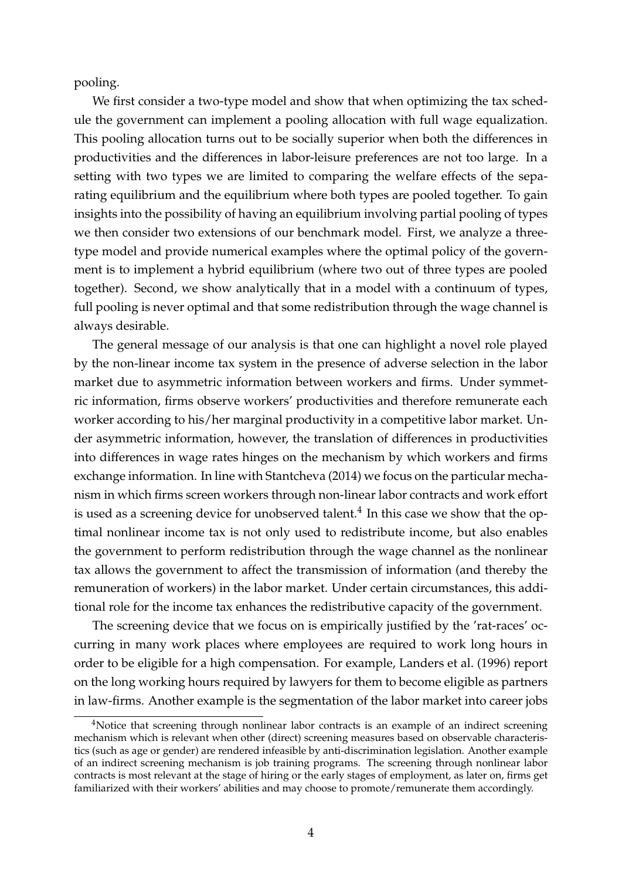pooling.

We first consider a two-type model and show that when optimizing the tax schedule the government can implement a pooling allocation with full wage equalization. This pooling allocation turns out to be socially superior when both the differences in productivities and the differences in labor-leisure preferences are not too large. In a setting with two types we are limited to comparing the welfare effects of the separating equilibrium and the equilibrium where both types are pooled together. To gain insights into the possibility of having an equilibrium involving partial pooling of types we then consider two extensions of our benchmark model. First, we analyze a threetype model and provide numerical examples where the optimal policy of the government is to implement a hybrid equilibrium (where two out of three types are pooled together). Second, we show analytically that in a model with a continuum of types, full pooling is never optimal and that some redistribution through the wage channel is always desirable.

The general message of our analysis is that one can highlight a novel role played by the non-linear income tax system in the presence of adverse selection in the labor market due to asymmetric information between workers and firms. Under symmetric information, firms observe workers' productivities and therefore remunerate each worker according to his/her marginal productivity in a competitive labor market. Under asymmetric information, however, the translation of differences in productivities into differences in wage rates hinges on the mechanism by which workers and firms exchange information. In line with Stantcheva (2014) we focus on the particular mechanism in which firms screen workers through non-linear labor contracts and work effort is used as a screening device for unobserved talent.<sup>4</sup> In this case we show that the optimal nonlinear income tax is not only used to redistribute income, but also enables the government to perform redistribution through the wage channel as the nonlinear tax allows the government to affect the transmission of information (and thereby the remuneration of workers) in the labor market. Under certain circumstances, this additional role for the income tax enhances the redistributive capacity of the government.

The screening device that we focus on is empirically justified by the 'rat-races' occurring in many work places where employees are required to work long hours in order to be eligible for a high compensation. For example, [Landers et al.](#page-33-4) [\(1996\)](#page-33-4) report on the long working hours required by lawyers for them to become eligible as partners in law-firms. Another example is the segmentation of the labor market into career jobs

<sup>&</sup>lt;sup>4</sup>Notice that screening through nonlinear labor contracts is an example of an indirect screening mechanism which is relevant when other (direct) screening measures based on observable characteristics (such as age or gender) are rendered infeasible by anti-discrimination legislation. Another example of an indirect screening mechanism is job training programs. The screening through nonlinear labor contracts is most relevant at the stage of hiring or the early stages of employment, as later on, firms get familiarized with their workers' abilities and may choose to promote/remunerate them accordingly.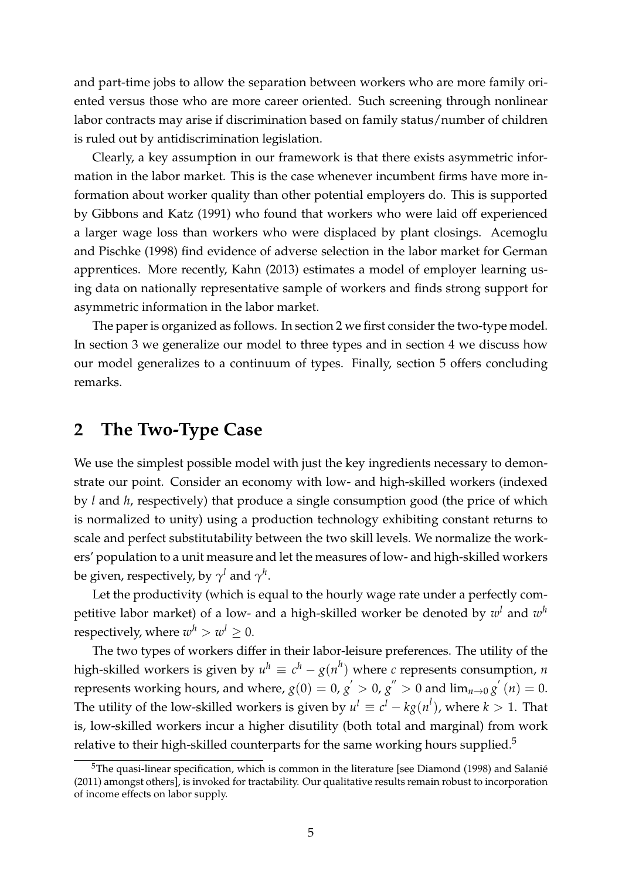and part-time jobs to allow the separation between workers who are more family oriented versus those who are more career oriented. Such screening through nonlinear labor contracts may arise if discrimination based on family status/number of children is ruled out by antidiscrimination legislation.

Clearly, a key assumption in our framework is that there exists asymmetric information in the labor market. This is the case whenever incumbent firms have more information about worker quality than other potential employers do. This is supported by [Gibbons and Katz](#page-33-5) [\(1991\)](#page-33-5) who found that workers who were laid off experienced a larger wage loss than workers who were displaced by plant closings. [Acemoglu](#page-32-1) [and Pischke](#page-32-1) [\(1998\)](#page-32-1) find evidence of adverse selection in the labor market for German apprentices. More recently, [Kahn](#page-33-6) [\(2013\)](#page-33-6) estimates a model of employer learning using data on nationally representative sample of workers and finds strong support for asymmetric information in the labor market.

The paper is organized as follows. In section [2](#page-6-0) we first consider the two-type model. In section [3](#page-19-0) we generalize our model to three types and in section [4](#page-29-0) we discuss how our model generalizes to a continuum of types. Finally, section [5](#page-31-0) offers concluding remarks.

# <span id="page-6-0"></span>**2 The Two-Type Case**

We use the simplest possible model with just the key ingredients necessary to demonstrate our point. Consider an economy with low- and high-skilled workers (indexed by *l* and *h*, respectively) that produce a single consumption good (the price of which is normalized to unity) using a production technology exhibiting constant returns to scale and perfect substitutability between the two skill levels. We normalize the workers' population to a unit measure and let the measures of low- and high-skilled workers be given, respectively, by  $\gamma^l$  and  $\gamma^h$ .

Let the productivity (which is equal to the hourly wage rate under a perfectly competitive labor market) of a low- and a high-skilled worker be denoted by *w<sup>l</sup>* and *w<sup>h</sup>* respectively, where  $w^h > w^l \geq 0$ .

The two types of workers differ in their labor-leisure preferences. The utility of the high-skilled workers is given by  $u^h \equiv c^h - g(n^h)$  where *c* represents consumption, *n* represents working hours, and where,  $g(0) = 0$ ,  $g' > 0$ ,  $g'' > 0$  and  $\lim_{n\to 0} g'(n) = 0$ . The utility of the low-skilled workers is given by  $u^l \equiv c^l - k g(n^l)$ , where  $k > 1$ . That is, low-skilled workers incur a higher disutility (both total and marginal) from work relative to their high-skilled counterparts for the same working hours supplied.<sup>5</sup>

 $5$ The quasi-linear specification, which is common in the literature [see [Diamond](#page-32-2) [\(1998\)](#page-32-2) and Salanié [\(2011\)](#page-33-7) amongst others], is invoked for tractability. Our qualitative results remain robust to incorporation of income effects on labor supply.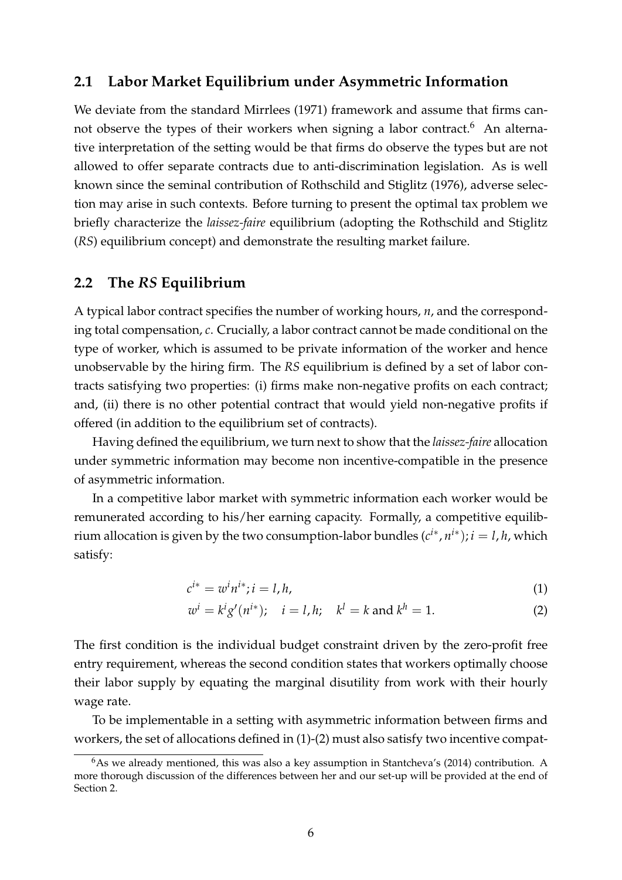#### **2.1 Labor Market Equilibrium under Asymmetric Information**

We deviate from the standard [Mirrlees](#page-33-8) [\(1971\)](#page-33-8) framework and assume that firms cannot observe the types of their workers when signing a labor contract.<sup>6</sup> An alternative interpretation of the setting would be that firms do observe the types but are not allowed to offer separate contracts due to anti-discrimination legislation. As is well known since the seminal contribution of [Rothschild and Stiglitz](#page-33-9) [\(1976\)](#page-33-9), adverse selection may arise in such contexts. Before turning to present the optimal tax problem we briefly characterize the *laissez-faire* equilibrium (adopting the Rothschild and Stiglitz (*RS*) equilibrium concept) and demonstrate the resulting market failure.

#### <span id="page-7-2"></span>**2.2 The** *RS* **Equilibrium**

A typical labor contract specifies the number of working hours, *n*, and the corresponding total compensation, *c*. Crucially, a labor contract cannot be made conditional on the type of worker, which is assumed to be private information of the worker and hence unobservable by the hiring firm. The *RS* equilibrium is defined by a set of labor contracts satisfying two properties: (i) firms make non-negative profits on each contract; and, (ii) there is no other potential contract that would yield non-negative profits if offered (in addition to the equilibrium set of contracts).

Having defined the equilibrium, we turn next to show that the *laissez-faire* allocation under symmetric information may become non incentive-compatible in the presence of asymmetric information.

In a competitive labor market with symmetric information each worker would be remunerated according to his/her earning capacity. Formally, a competitive equilibrium allocation is given by the two consumption-labor bundles  $(c^{i*}, n^{i*})$ ;  $i = l, h$ , which satisfy:

<span id="page-7-1"></span><span id="page-7-0"></span>
$$
c^{i*} = w^i n^{i*}; i = l, h,
$$
\n<sup>(1)</sup>

$$
w^{i} = k^{i}g'(n^{i*}); \quad i = l, h; \quad k^{l} = k \text{ and } k^{h} = 1.
$$
 (2)

The first condition is the individual budget constraint driven by the zero-profit free entry requirement, whereas the second condition states that workers optimally choose their labor supply by equating the marginal disutility from work with their hourly wage rate.

To be implementable in a setting with asymmetric information between firms and workers, the set of allocations defined in [\(1\)](#page-7-0)-[\(2\)](#page-7-1) must also satisfy two incentive compat-

 $6As$  we already mentioned, this was also a key assumption in Stantcheva's (2014) contribution. A more thorough discussion of the differences between her and our set-up will be provided at the end of Section 2.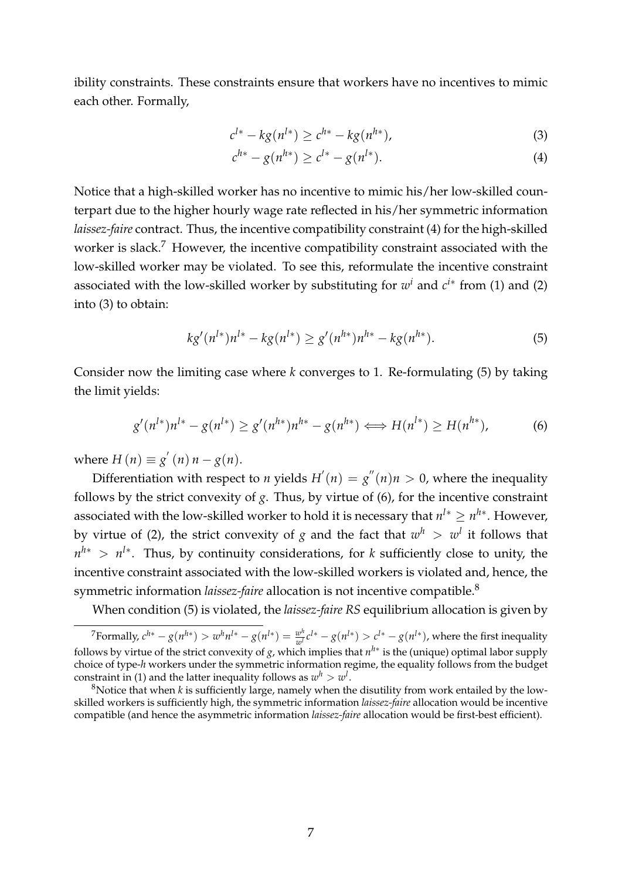ibility constraints. These constraints ensure that workers have no incentives to mimic each other. Formally,

<span id="page-8-1"></span>
$$
c^{l*} - kg(n^{l*}) \ge c^{h*} - kg(n^{h*}),
$$
\n(3)

<span id="page-8-0"></span>
$$
c^{h*} - g(n^{h*}) \ge c^{l*} - g(n^{l*}).
$$
\n(4)

Notice that a high-skilled worker has no incentive to mimic his/her low-skilled counterpart due to the higher hourly wage rate reflected in his/her symmetric information *laissez-faire* contract. Thus, the incentive compatibility constraint [\(4\)](#page-8-0) for the high-skilled worker is slack.<sup>7</sup> However, the incentive compatibility constraint associated with the low-skilled worker may be violated. To see this, reformulate the incentive constraint associated with the low-skilled worker by substituting for  $w<sup>i</sup>$  and  $c<sup>i*</sup>$  from [\(1\)](#page-7-0) and [\(2\)](#page-7-1) into [\(3\)](#page-8-1) to obtain:

<span id="page-8-2"></span>
$$
kg'(n^{l*})n^{l*} - kg(n^{l*}) \ge g'(n^{h*})n^{h*} - kg(n^{h*}).
$$
\n(5)

Consider now the limiting case where *k* converges to 1. Re-formulating [\(5\)](#page-8-2) by taking the limit yields:

$$
g'(n^{l*})n^{l*} - g(n^{l*}) \ge g'(n^{h*})n^{h*} - g(n^{h*}) \iff H(n^{l*}) \ge H(n^{h*}),
$$
 (6)

where  $H(n) \equiv g'(n) n - g(n)$ .

Differentiation with respect to *n* yields  $H'(n) = g''(n)n > 0$ , where the inequality follows by the strict convexity of *g*. Thus, by virtue of (6), for the incentive constraint associated with the low-skilled worker to hold it is necessary that  $n^{l*} \geq n^{h*}$ . However, by virtue of (2), the strict convexity of *g* and the fact that  $w^h > w^l$  it follows that  $n^{h*} > n^{l*}$ . Thus, by continuity considerations, for *k* sufficiently close to unity, the incentive constraint associated with the low-skilled workers is violated and, hence, the symmetric information *laissez-faire* allocation is not incentive compatible.<sup>8</sup>

When condition [\(5\)](#page-8-2) is violated, the *laissez-faire RS* equilibrium allocation is given by

<sup>&</sup>lt;sup>7</sup>Formally,  $c^{h*} - g(n^{h*}) > w^h n^{l*} - g(n^{l*}) = \frac{w^h}{w^l} c^{l*} - g(n^{l*}) > c^{l*} - g(n^{l*})$ , where the first inequality follows by virtue of the strict convexity of *g*, which implies that  $n^{h*}$  is the (unique) optimal labor supply choice of type-*h* workers under the symmetric information regime, the equality follows from the budget constraint in (1) and the latter inequality follows as  $w^h > w^l$ .

<sup>&</sup>lt;sup>8</sup>Notice that when *k* is sufficiently large, namely when the disutility from work entailed by the lowskilled workers is sufficiently high, the symmetric information *laissez-faire* allocation would be incentive compatible (and hence the asymmetric information *laissez-faire* allocation would be first-best efficient).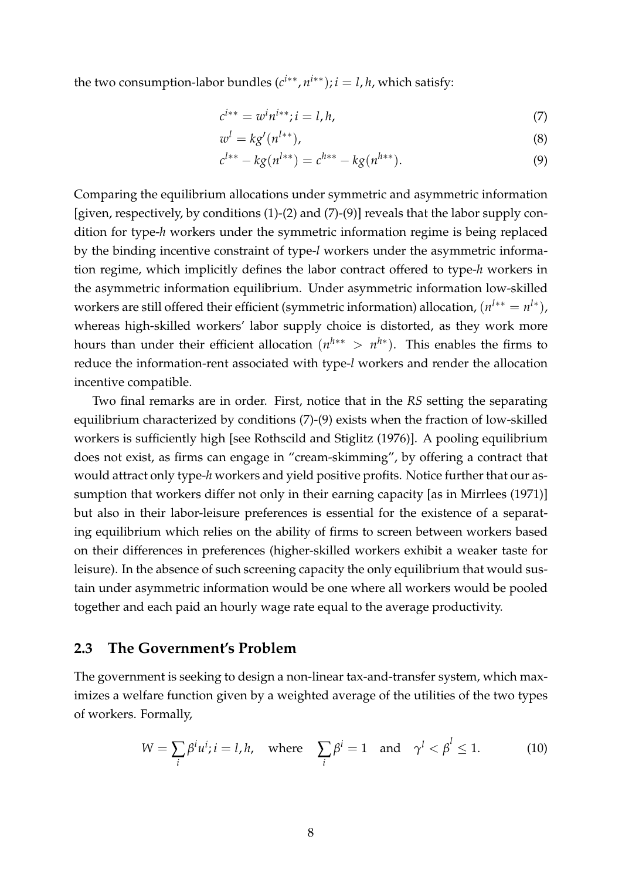the two consumption-labor bundles  $(c^{i**}, n^{i**})$ ;  $i = l, h$ , which satisfy:

<span id="page-9-0"></span>
$$
c^{i**} = w^i n^{i**}; i = l, h,
$$
\n(7)

$$
w^l = k g'(n^{l**}),\tag{8}
$$

<span id="page-9-1"></span>
$$
c^{l**} - k g(n^{l**}) = c^{h**} - k g(n^{h**}).
$$
\n(9)

Comparing the equilibrium allocations under symmetric and asymmetric information [given, respectively, by conditions [\(1\)](#page-7-0)-[\(2\)](#page-7-1) and [\(7\)](#page-9-0)-[\(9\)](#page-9-1)] reveals that the labor supply condition for type-*h* workers under the symmetric information regime is being replaced by the binding incentive constraint of type-*l* workers under the asymmetric information regime, which implicitly defines the labor contract offered to type-*h* workers in the asymmetric information equilibrium. Under asymmetric information low-skilled workers are still offered their efficient (symmetric information) allocation,  $(n^{l**} = n^{l*})$ , whereas high-skilled workers' labor supply choice is distorted, as they work more hours than under their efficient allocation  $(n^{h**} > n^{h*})$ . This enables the firms to reduce the information-rent associated with type-*l* workers and render the allocation incentive compatible.

Two final remarks are in order. First, notice that in the *RS* setting the separating equilibrium characterized by conditions [\(7\)](#page-9-0)-[\(9\)](#page-9-1) exists when the fraction of low-skilled workers is sufficiently high [see Rothscild and Stiglitz (1976)]. A pooling equilibrium does not exist, as firms can engage in "cream-skimming", by offering a contract that would attract only type-*h* workers and yield positive profits. Notice further that our assumption that workers differ not only in their earning capacity [as in Mirrlees (1971)] but also in their labor-leisure preferences is essential for the existence of a separating equilibrium which relies on the ability of firms to screen between workers based on their differences in preferences (higher-skilled workers exhibit a weaker taste for leisure). In the absence of such screening capacity the only equilibrium that would sustain under asymmetric information would be one where all workers would be pooled together and each paid an hourly wage rate equal to the average productivity.

#### **2.3 The Government's Problem**

The government is seeking to design a non-linear tax-and-transfer system, which maximizes a welfare function given by a weighted average of the utilities of the two types of workers. Formally,

<span id="page-9-2"></span>
$$
W = \sum_{i} \beta^{i} u^{i}; i = l, h, \text{ where } \sum_{i} \beta^{i} = 1 \text{ and } \gamma^{l} < \beta^{l} \leq 1. \tag{10}
$$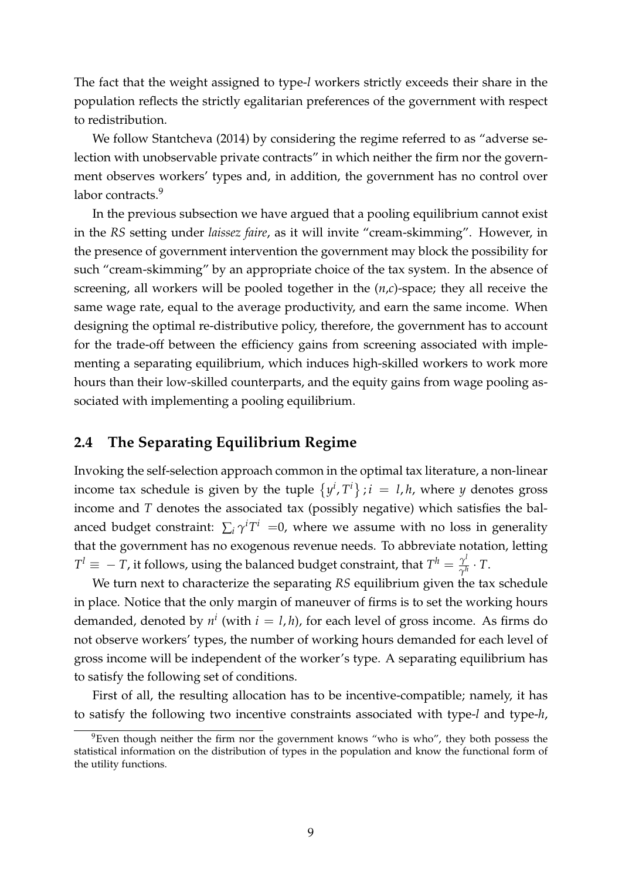The fact that the weight assigned to type-*l* workers strictly exceeds their share in the population reflects the strictly egalitarian preferences of the government with respect to redistribution.

We follow Stantcheva (2014) by considering the regime referred to as "adverse selection with unobservable private contracts" in which neither the firm nor the government observes workers' types and, in addition, the government has no control over labor contracts.<sup>9</sup>

In the previous subsection we have argued that a pooling equilibrium cannot exist in the *RS* setting under *laissez faire*, as it will invite "cream-skimming". However, in the presence of government intervention the government may block the possibility for such "cream-skimming" by an appropriate choice of the tax system. In the absence of screening, all workers will be pooled together in the (*n*,*c*)-space; they all receive the same wage rate, equal to the average productivity, and earn the same income. When designing the optimal re-distributive policy, therefore, the government has to account for the trade-off between the efficiency gains from screening associated with implementing a separating equilibrium, which induces high-skilled workers to work more hours than their low-skilled counterparts, and the equity gains from wage pooling associated with implementing a pooling equilibrium.

### **2.4 The Separating Equilibrium Regime**

Invoking the self-selection approach common in the optimal tax literature, a non-linear income tax schedule is given by the tuple  $\{y^i, T^i\}$ ;  $i = l, h$ , where *y* denotes gross income and *T* denotes the associated tax (possibly negative) which satisfies the balanced budget constraint:  $\sum_i \gamma^i T^i = 0$ , where we assume with no loss in generality that the government has no exogenous revenue needs. To abbreviate notation, letting  $T^l \equiv -T$ , it follows, using the balanced budget constraint, that  $T^h = \frac{\gamma^l}{\gamma^h} \cdot T$ .

We turn next to characterize the separating *RS* equilibrium given the tax schedule in place. Notice that the only margin of maneuver of firms is to set the working hours demanded, denoted by  $n^i$  (with  $i = l, h$ ), for each level of gross income. As firms do not observe workers' types, the number of working hours demanded for each level of gross income will be independent of the worker's type. A separating equilibrium has to satisfy the following set of conditions.

First of all, the resulting allocation has to be incentive-compatible; namely, it has to satisfy the following two incentive constraints associated with type-*l* and type-*h*,

 $9$ Even though neither the firm nor the government knows "who is who", they both possess the statistical information on the distribution of types in the population and know the functional form of the utility functions.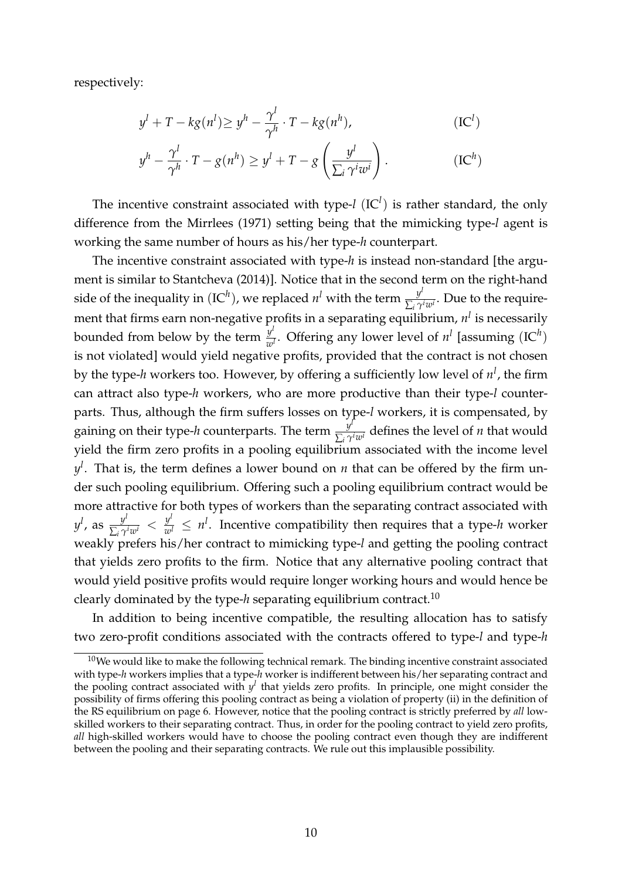respectively:

$$
y^{l} + T - kg(n^{l}) \ge y^{h} - \frac{\gamma^{l}}{\gamma^{h}} \cdot T - kg(n^{h}),
$$
 (IC<sup>l</sup>)

$$
y^{h} - \frac{\gamma^{l}}{\gamma^{h}} \cdot T - g(n^{h}) \ge y^{l} + T - g\left(\frac{y^{l}}{\sum_{i} \gamma^{i} w^{i}}\right).
$$
 (IC<sup>h</sup>)

The incentive constraint associated with type- $l$  (IC<sup> $l$ </sup>) is rather standard, the only difference from the Mirrlees (1971) setting being that the mimicking type-*l* agent is working the same number of hours as his/her type-*h* counterpart.

The incentive constraint associated with type-*h* is instead non-standard [the argument is similar to Stantcheva (2014)]. Notice that in the second term on the right-hand side of the inequality in  $(IC^h)$ , we replaced  $n^l$  with the term  $\frac{y^l}{\sum_i \gamma^i w^i}$ . Due to the requirement that firms earn non-negative profits in a separating equilibrium, *n<sup>l</sup>* is necessarily bounded from below by the term  $\frac{y^l}{w^l}$ . Offering any lower level of  $n^l$  [assuming  $(IC^h)$ is not violated] would yield negative profits, provided that the contract is not chosen by the type-*h* workers too. However, by offering a sufficiently low level of *n<sup>l</sup>* , the firm can attract also type-*h* workers, who are more productive than their type-*l* counterparts. Thus, although the firm suffers losses on type-*l* workers, it is compensated, by gaining on their type-*h* counterparts. The term  $\frac{y^l}{\sum_i \gamma^i w^i}$  defines the level of *n* that would yield the firm zero profits in a pooling equilibrium associated with the income level *yl* . That is, the term defines a lower bound on *n* that can be offered by the firm under such pooling equilibrium. Offering such a pooling equilibrium contract would be more attractive for both types of workers than the separating contract associated with  $y^l$ , as  $\frac{y^l}{\sum_i \gamma^i w^i} < \frac{y^l}{w^l} \leq n^l$ . Incentive compatibility then requires that a type-*h* worker weakly prefers his/her contract to mimicking type-*l* and getting the pooling contract that yields zero profits to the firm. Notice that any alternative pooling contract that would yield positive profits would require longer working hours and would hence be clearly dominated by the type-*h* separating equilibrium contract.10

In addition to being incentive compatible, the resulting allocation has to satisfy two zero-profit conditions associated with the contracts offered to type-*l* and type-*h*

 $10$ We would like to make the following technical remark. The binding incentive constraint associated with type-*h* workers implies that a type-*h* worker is indifferent between his/her separating contract and the pooling contract associated with  $y^l$  that yields zero profits. In principle, one might consider the possibility of firms offering this pooling contract as being a violation of property (ii) in the definition of the RS equilibrium on page [6.](#page-7-2) However, notice that the pooling contract is strictly preferred by *all* lowskilled workers to their separating contract. Thus, in order for the pooling contract to yield zero profits, *all* high-skilled workers would have to choose the pooling contract even though they are indifferent between the pooling and their separating contracts. We rule out this implausible possibility.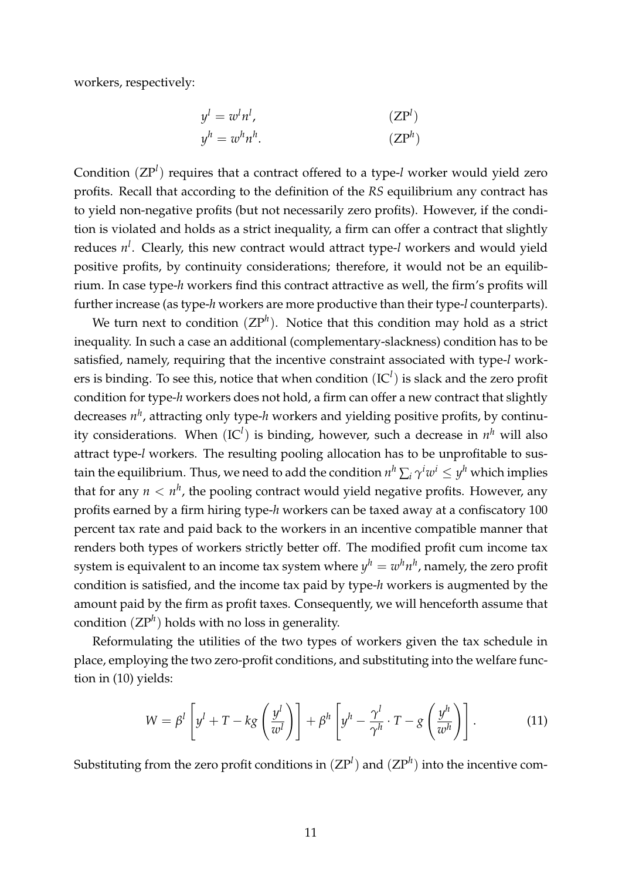workers, respectively:

$$
y^{l} = w^{l} n^{l},
$$
  
\n
$$
y^{h} = w^{h} n^{h}.
$$
\n(ZP<sup>l</sup>)  
\n(ZP<sup>h</sup>)

Condition (ZP<sup>*l*</sup>) requires that a contract offered to a type-*l* worker would yield zero profits. Recall that according to the definition of the *RS* equilibrium any contract has to yield non-negative profits (but not necessarily zero profits). However, if the condition is violated and holds as a strict inequality, a firm can offer a contract that slightly reduces *n<sup>l</sup>* . Clearly, this new contract would attract type-*l* workers and would yield positive profits, by continuity considerations; therefore, it would not be an equilibrium. In case type-*h* workers find this contract attractive as well, the firm's profits will further increase (as type-*h* workers are more productive than their type-*l* counterparts).

We turn next to condition  $(ZP^h)$ . Notice that this condition may hold as a strict inequality. In such a case an additional (complementary-slackness) condition has to be satisfied, namely, requiring that the incentive constraint associated with type-*l* workers is binding. To see this, notice that when condition  $(IC<sup>l</sup>)$  is slack and the zero profit condition for type-*h* workers does not hold, a firm can offer a new contract that slightly decreases *nh*, attracting only type-*h* workers and yielding positive profits, by continuity considerations. When (IC*<sup>l</sup>* ) is binding, however, such a decrease in *n<sup>h</sup>* will also attract type-*l* workers. The resulting pooling allocation has to be unprofitable to sustain the equilibrium. Thus, we need to add the condition  $n^h\sum_i \gamma^i w^i \leq y^h$  which implies that for any  $n < n^h$ , the pooling contract would yield negative profits. However, any profits earned by a firm hiring type-*h* workers can be taxed away at a confiscatory 100 percent tax rate and paid back to the workers in an incentive compatible manner that renders both types of workers strictly better off. The modified profit cum income tax system is equivalent to an income tax system where  $y^h = w^h n^h$ , namely, the zero profit condition is satisfied, and the income tax paid by type-*h* workers is augmented by the amount paid by the firm as profit taxes. Consequently, we will henceforth assume that condition  $(ZP^h)$  holds with no loss in generality.

Reformulating the utilities of the two types of workers given the tax schedule in place, employing the two zero-profit conditions, and substituting into the welfare function in [\(10\)](#page-9-2) yields:

<span id="page-12-0"></span>
$$
W = \beta^l \left[ y^l + T - kg \left( \frac{y^l}{w^l} \right) \right] + \beta^h \left[ y^h - \frac{\gamma^l}{\gamma^h} \cdot T - g \left( \frac{y^h}{w^h} \right) \right]. \tag{11}
$$

Substituting from the zero profit conditions in  $(ZP^l)$  and  $(ZP^h)$  into the incentive com-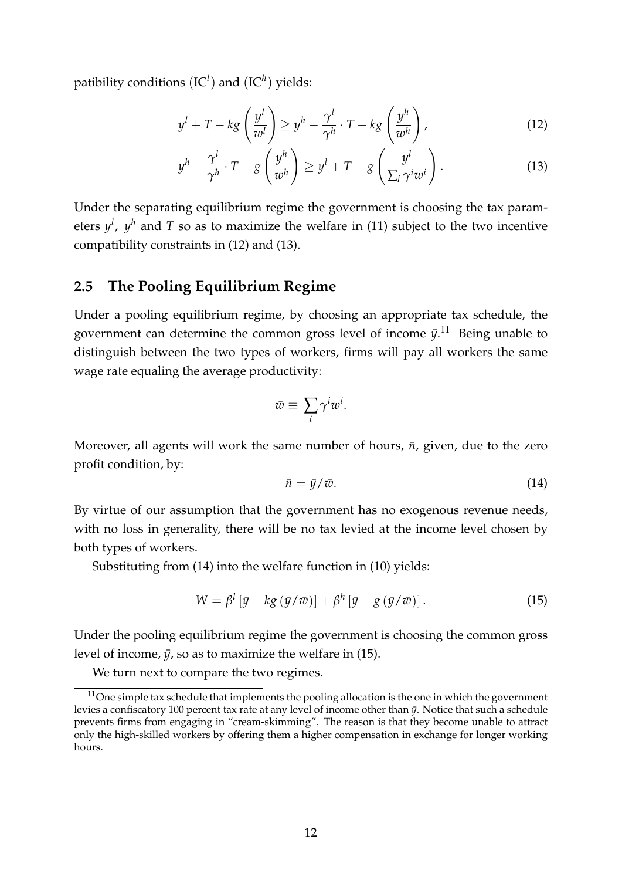patibility conditions (IC*<sup>l</sup>* ) and (IC*h*) yields:

<span id="page-13-0"></span>
$$
y^{l} + T - kg\left(\frac{y^{l}}{w^{l}}\right) \geq y^{h} - \frac{\gamma^{l}}{\gamma^{h}} \cdot T - kg\left(\frac{y^{h}}{w^{h}}\right),
$$
\n(12)

<span id="page-13-1"></span>
$$
y^{h} - \frac{\gamma^{l}}{\gamma^{h}} \cdot T - g\left(\frac{y^{h}}{w^{h}}\right) \geq y^{l} + T - g\left(\frac{y^{l}}{\sum_{i} \gamma^{i} w^{i}}\right). \tag{13}
$$

Under the separating equilibrium regime the government is choosing the tax parameters  $y^l$ ,  $y^h$  and T so as to maximize the welfare in [\(11\)](#page-12-0) subject to the two incentive compatibility constraints in [\(12\)](#page-13-0) and [\(13\)](#page-13-1).

#### **2.5 The Pooling Equilibrium Regime**

Under a pooling equilibrium regime, by choosing an appropriate tax schedule, the government can determine the common gross level of income  $\bar{y}$ .<sup>11</sup> Being unable to distinguish between the two types of workers, firms will pay all workers the same wage rate equaling the average productivity:

$$
\bar{w} \equiv \sum_i \gamma^i w^i.
$$

Moreover, all agents will work the same number of hours,  $\bar{n}$ , given, due to the zero profit condition, by:

<span id="page-13-2"></span>
$$
\bar{n} = \bar{y}/\bar{w}.\tag{14}
$$

By virtue of our assumption that the government has no exogenous revenue needs, with no loss in generality, there will be no tax levied at the income level chosen by both types of workers.

Substituting from [\(14\)](#page-13-2) into the welfare function in [\(10\)](#page-9-2) yields:

<span id="page-13-3"></span>
$$
W = \beta^l \left[ \bar{y} - k g \left( \bar{y} / \bar{w} \right) \right] + \beta^h \left[ \bar{y} - g \left( \bar{y} / \bar{w} \right) \right]. \tag{15}
$$

Under the pooling equilibrium regime the government is choosing the common gross level of income,  $\bar{y}$ , so as to maximize the welfare in [\(15\)](#page-13-3).

We turn next to compare the two regimes.

 $11$ One simple tax schedule that implements the pooling allocation is the one in which the government levies a confiscatory 100 percent tax rate at any level of income other than  $\bar{y}$ . Notice that such a schedule prevents firms from engaging in "cream-skimming". The reason is that they become unable to attract only the high-skilled workers by offering them a higher compensation in exchange for longer working hours.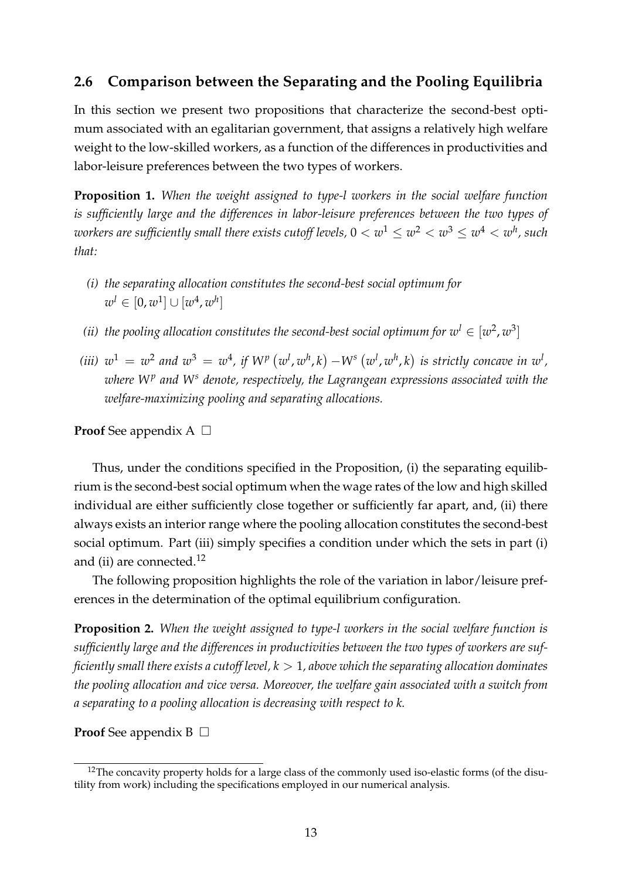### **2.6 Comparison between the Separating and the Pooling Equilibria**

In this section we present two propositions that characterize the second-best optimum associated with an egalitarian government, that assigns a relatively high welfare weight to the low-skilled workers, as a function of the differences in productivities and labor-leisure preferences between the two types of workers.

<span id="page-14-0"></span>**Proposition 1.** *When the weight assigned to type-l workers in the social welfare function is sufficiently large and the differences in labor-leisure preferences between the two types of workers are sufficiently small there exists cutoff levels,*  $0 < w^1 \leq w^2 < w^3 \leq w^4 < w^h$ , such *that:*

- *(i) the separating allocation constitutes the second-best social optimum for*  $w^{l} \in [0, w^{1}] \cup [w^{4}, w^{h}]$
- *(ii)* the pooling allocation constitutes the second-best social optimum for  $w<sup>l</sup> \in [w<sup>2</sup>, w<sup>3</sup>]$
- (iii)  $w^1 = w^2$  and  $w^3 = w^4$ , if  $W^p(w^l,w^h,k) W^s(w^l,w^h,k)$  is strictly concave in  $w^l$ , *where W<sup>p</sup> and W<sup>s</sup> denote, respectively, the Lagrangean expressions associated with the welfare-maximizing pooling and separating allocations.*

**Proof** See appendix  $A \Box$ 

Thus, under the conditions specified in the Proposition, (i) the separating equilibrium is the second-best social optimum when the wage rates of the low and high skilled individual are either sufficiently close together or sufficiently far apart, and, (ii) there always exists an interior range where the pooling allocation constitutes the second-best social optimum. Part (iii) simply specifies a condition under which the sets in part (i) and (ii) are connected.<sup>12</sup>

The following proposition highlights the role of the variation in labor/leisure preferences in the determination of the optimal equilibrium configuration.

<span id="page-14-1"></span>**Proposition 2.** *When the weight assigned to type-l workers in the social welfare function is sufficiently large and the differences in productivities between the two types of workers are sufficiently small there exists a cutoff level, k >* 1*, above which the separating allocation dominates the pooling allocation and vice versa. Moreover, the welfare gain associated with a switch from a separating to a pooling allocation is decreasing with respect to k.*

**Proof** See appendix  $B \Box$ 

 $12$ The concavity property holds for a large class of the commonly used iso-elastic forms (of the disutility from work) including the specifications employed in our numerical analysis.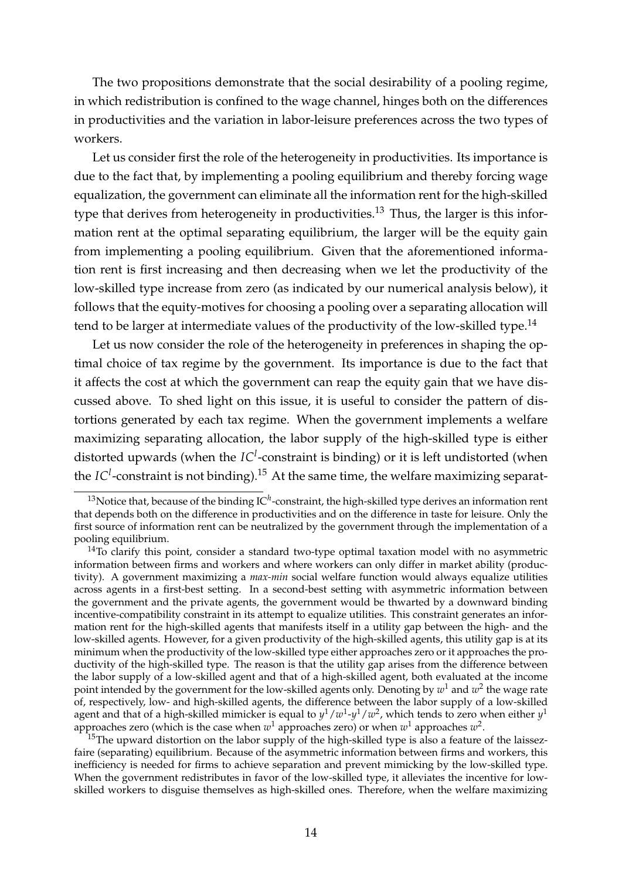The two propositions demonstrate that the social desirability of a pooling regime, in which redistribution is confined to the wage channel, hinges both on the differences in productivities and the variation in labor-leisure preferences across the two types of workers.

Let us consider first the role of the heterogeneity in productivities. Its importance is due to the fact that, by implementing a pooling equilibrium and thereby forcing wage equalization, the government can eliminate all the information rent for the high-skilled type that derives from heterogeneity in productivities.<sup>13</sup> Thus, the larger is this information rent at the optimal separating equilibrium, the larger will be the equity gain from implementing a pooling equilibrium. Given that the aforementioned information rent is first increasing and then decreasing when we let the productivity of the low-skilled type increase from zero (as indicated by our numerical analysis below), it follows that the equity-motives for choosing a pooling over a separating allocation will tend to be larger at intermediate values of the productivity of the low-skilled type.<sup>14</sup>

Let us now consider the role of the heterogeneity in preferences in shaping the optimal choice of tax regime by the government. Its importance is due to the fact that it affects the cost at which the government can reap the equity gain that we have discussed above. To shed light on this issue, it is useful to consider the pattern of distortions generated by each tax regime. When the government implements a welfare maximizing separating allocation, the labor supply of the high-skilled type is either distorted upwards (when the *IC<sup>1</sup>*-constraint is binding) or it is left undistorted (when the *IC<sup>l</sup>*-constraint is not binding).<sup>15</sup> At the same time, the welfare maximizing separat-

 $15$ The upward distortion on the labor supply of the high-skilled type is also a feature of the laissezfaire (separating) equilibrium. Because of the asymmetric information between firms and workers, this inefficiency is needed for firms to achieve separation and prevent mimicking by the low-skilled type. When the government redistributes in favor of the low-skilled type, it alleviates the incentive for lowskilled workers to disguise themselves as high-skilled ones. Therefore, when the welfare maximizing

<sup>&</sup>lt;sup>13</sup>Notice that, because of the binding IC<sup>h</sup>-constraint, the high-skilled type derives an information rent that depends both on the difference in productivities and on the difference in taste for leisure. Only the first source of information rent can be neutralized by the government through the implementation of a pooling equilibrium.

 $14$ To clarify this point, consider a standard two-type optimal taxation model with no asymmetric information between firms and workers and where workers can only differ in market ability (productivity). A government maximizing a *max-min* social welfare function would always equalize utilities across agents in a first-best setting. In a second-best setting with asymmetric information between the government and the private agents, the government would be thwarted by a downward binding incentive-compatibility constraint in its attempt to equalize utilities. This constraint generates an information rent for the high-skilled agents that manifests itself in a utility gap between the high- and the low-skilled agents. However, for a given productivity of the high-skilled agents, this utility gap is at its minimum when the productivity of the low-skilled type either approaches zero or it approaches the productivity of the high-skilled type. The reason is that the utility gap arises from the difference between the labor supply of a low-skilled agent and that of a high-skilled agent, both evaluated at the income point intended by the government for the low-skilled agents only. Denoting by  $w<sup>1</sup>$  and  $w<sup>2</sup>$  the wage rate of, respectively, low- and high-skilled agents, the difference between the labor supply of a low-skilled agent and that of a high-skilled mimicker is equal to *y*1/*w*1-*y*1/*w*2, which tends to zero when either *y*<sup>1</sup> approaches zero (which is the case when *w*<sup>1</sup> approaches zero) or when *w*<sup>1</sup> approaches *w*2.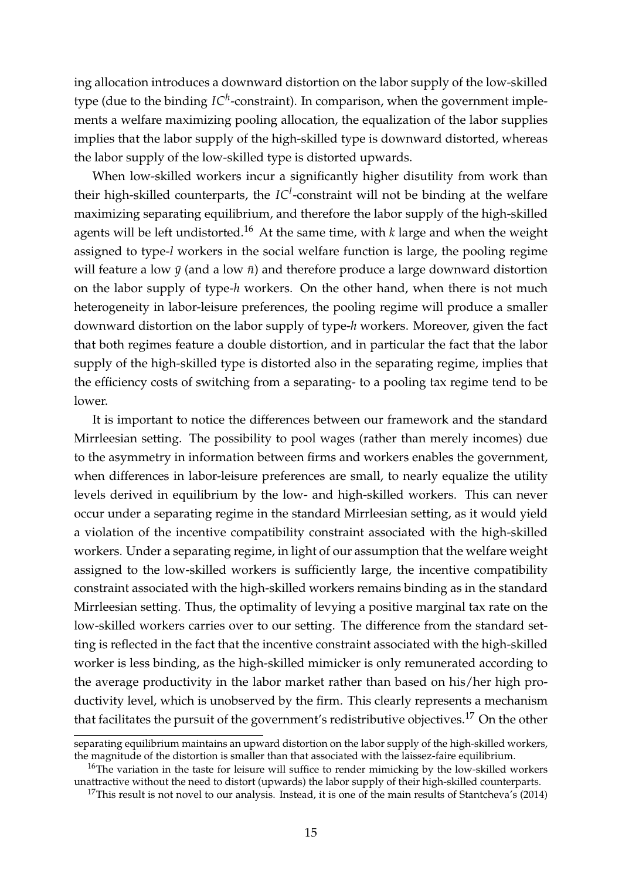ing allocation introduces a downward distortion on the labor supply of the low-skilled type (due to the binding  $IC^h$ -constraint). In comparison, when the government implements a welfare maximizing pooling allocation, the equalization of the labor supplies implies that the labor supply of the high-skilled type is downward distorted, whereas the labor supply of the low-skilled type is distorted upwards.

When low-skilled workers incur a significantly higher disutility from work than their high-skilled counterparts, the *IC<sup>l</sup>* -constraint will not be binding at the welfare maximizing separating equilibrium, and therefore the labor supply of the high-skilled agents will be left undistorted.<sup>16</sup> At the same time, with  $k$  large and when the weight assigned to type-*l* workers in the social welfare function is large, the pooling regime will feature a low  $\bar{y}$  (and a low  $\bar{n}$ ) and therefore produce a large downward distortion on the labor supply of type-*h* workers. On the other hand, when there is not much heterogeneity in labor-leisure preferences, the pooling regime will produce a smaller downward distortion on the labor supply of type-*h* workers. Moreover, given the fact that both regimes feature a double distortion, and in particular the fact that the labor supply of the high-skilled type is distorted also in the separating regime, implies that the efficiency costs of switching from a separating- to a pooling tax regime tend to be lower.

It is important to notice the differences between our framework and the standard Mirrleesian setting. The possibility to pool wages (rather than merely incomes) due to the asymmetry in information between firms and workers enables the government, when differences in labor-leisure preferences are small, to nearly equalize the utility levels derived in equilibrium by the low- and high-skilled workers. This can never occur under a separating regime in the standard Mirrleesian setting, as it would yield a violation of the incentive compatibility constraint associated with the high-skilled workers. Under a separating regime, in light of our assumption that the welfare weight assigned to the low-skilled workers is sufficiently large, the incentive compatibility constraint associated with the high-skilled workers remains binding as in the standard Mirrleesian setting. Thus, the optimality of levying a positive marginal tax rate on the low-skilled workers carries over to our setting. The difference from the standard setting is reflected in the fact that the incentive constraint associated with the high-skilled worker is less binding, as the high-skilled mimicker is only remunerated according to the average productivity in the labor market rather than based on his/her high productivity level, which is unobserved by the firm. This clearly represents a mechanism that facilitates the pursuit of the government's redistributive objectives.<sup>17</sup> On the other

separating equilibrium maintains an upward distortion on the labor supply of the high-skilled workers, the magnitude of the distortion is smaller than that associated with the laissez-faire equilibrium.

<sup>&</sup>lt;sup>16</sup>The variation in the taste for leisure will suffice to render mimicking by the low-skilled workers unattractive without the need to distort (upwards) the labor supply of their high-skilled counterparts.

<sup>&</sup>lt;sup>17</sup>This result is not novel to our analysis. Instead, it is one of the main results of Stantcheva's (2014)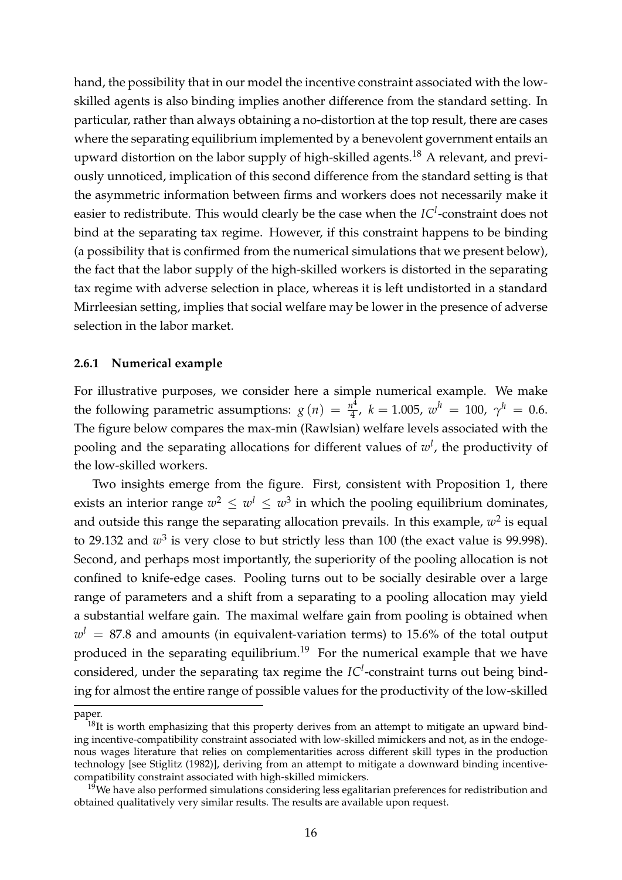hand, the possibility that in our model the incentive constraint associated with the lowskilled agents is also binding implies another difference from the standard setting. In particular, rather than always obtaining a no-distortion at the top result, there are cases where the separating equilibrium implemented by a benevolent government entails an upward distortion on the labor supply of high-skilled agents.18 A relevant, and previously unnoticed, implication of this second difference from the standard setting is that the asymmetric information between firms and workers does not necessarily make it easier to redistribute. This would clearly be the case when the *IC<sup>l</sup>* -constraint does not bind at the separating tax regime. However, if this constraint happens to be binding (a possibility that is confirmed from the numerical simulations that we present below), the fact that the labor supply of the high-skilled workers is distorted in the separating tax regime with adverse selection in place, whereas it is left undistorted in a standard Mirrleesian setting, implies that social welfare may be lower in the presence of adverse selection in the labor market.

#### **2.6.1 Numerical example**

For illustrative purposes, we consider here a simple numerical example. We make the following parametric assumptions:  $g(n) = \frac{n^4}{4}$ ,  $k = 1.005$ ,  $w^h = 100$ ,  $\gamma^h = 0.6$ . The figure below compares the max-min (Rawlsian) welfare levels associated with the pooling and the separating allocations for different values of *w<sup>l</sup>* , the productivity of the low-skilled workers.

Two insights emerge from the figure. First, consistent with Proposition 1, there exists an interior range  $w^2 \leq w^1 \leq w^3$  in which the pooling equilibrium dominates, and outside this range the separating allocation prevails. In this example,  $w^2$  is equal to 29.132 and  $w^3$  is very close to but strictly less than 100 (the exact value is 99.998). Second, and perhaps most importantly, the superiority of the pooling allocation is not confined to knife-edge cases. Pooling turns out to be socially desirable over a large range of parameters and a shift from a separating to a pooling allocation may yield a substantial welfare gain. The maximal welfare gain from pooling is obtained when  $w<sup>l</sup> = 87.8$  and amounts (in equivalent-variation terms) to 15.6% of the total output produced in the separating equilibrium.<sup>19</sup> For the numerical example that we have considered, under the separating tax regime the *IC<sup>l</sup>* -constraint turns out being binding for almost the entire range of possible values for the productivity of the low-skilled

paper.

 $18$ It is worth emphasizing that this property derives from an attempt to mitigate an upward binding incentive-compatibility constraint associated with low-skilled mimickers and not, as in the endogenous wages literature that relies on complementarities across different skill types in the production technology [see Stiglitz (1982)], deriving from an attempt to mitigate a downward binding incentivecompatibility constraint associated with high-skilled mimickers.

 $19$ We have also performed simulations considering less egalitarian preferences for redistribution and obtained qualitatively very similar results. The results are available upon request.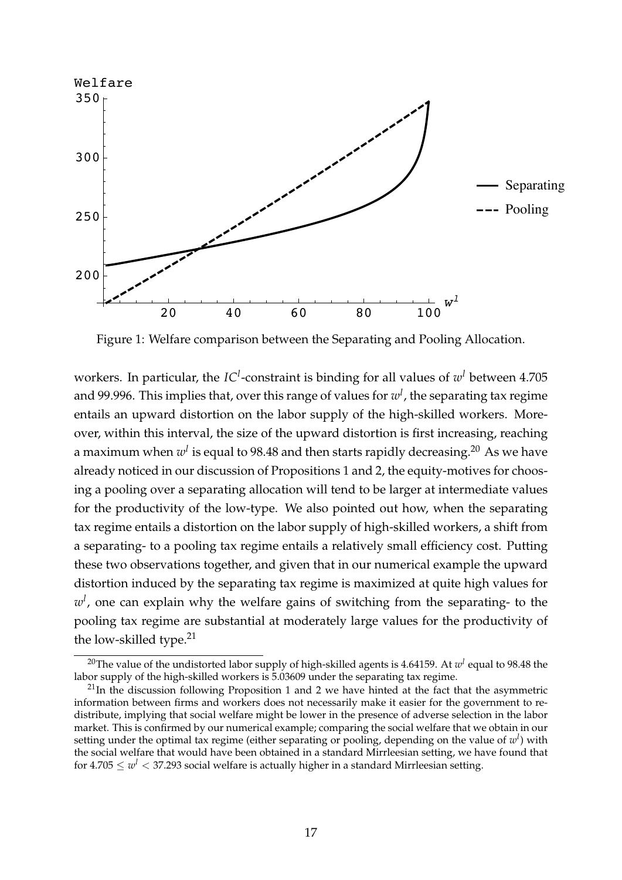

Figure 1: Welfare comparison between the Separating and Pooling Allocation.

workers. In particular, the *IC<sup>1</sup>*-constraint is binding for all values of  $w<sup>l</sup>$  between 4.705 and 99.996. This implies that, over this range of values for *w<sup>l</sup>* , the separating tax regime entails an upward distortion on the labor supply of the high-skilled workers. Moreover, within this interval, the size of the upward distortion is first increasing, reaching a maximum when  $w^l$  is equal to 98.48 and then starts rapidly decreasing.<sup>20</sup> As we have already noticed in our discussion of Propositions 1 and 2, the equity-motives for choosing a pooling over a separating allocation will tend to be larger at intermediate values for the productivity of the low-type. We also pointed out how, when the separating tax regime entails a distortion on the labor supply of high-skilled workers, a shift from a separating- to a pooling tax regime entails a relatively small efficiency cost. Putting these two observations together, and given that in our numerical example the upward distortion induced by the separating tax regime is maximized at quite high values for *wl* , one can explain why the welfare gains of switching from the separating- to the pooling tax regime are substantial at moderately large values for the productivity of the low-skilled type. $21$ 

<sup>20</sup>The value of the undistorted labor supply of high-skilled agents is 4.64159. At *w<sup>l</sup>* equal to 98.48 the labor supply of the high-skilled workers is 5.03609 under the separating tax regime.

 $21$ In the discussion following Proposition 1 and 2 we have hinted at the fact that the asymmetric information between firms and workers does not necessarily make it easier for the government to redistribute, implying that social welfare might be lower in the presence of adverse selection in the labor market. This is confirmed by our numerical example; comparing the social welfare that we obtain in our setting under the optimal tax regime (either separating or pooling, depending on the value of *w<sup>l</sup>* ) with the social welfare that would have been obtained in a standard Mirrleesian setting, we have found that for  $4.705 \leq w^l < 37.293$  social welfare is actually higher in a standard Mirrleesian setting.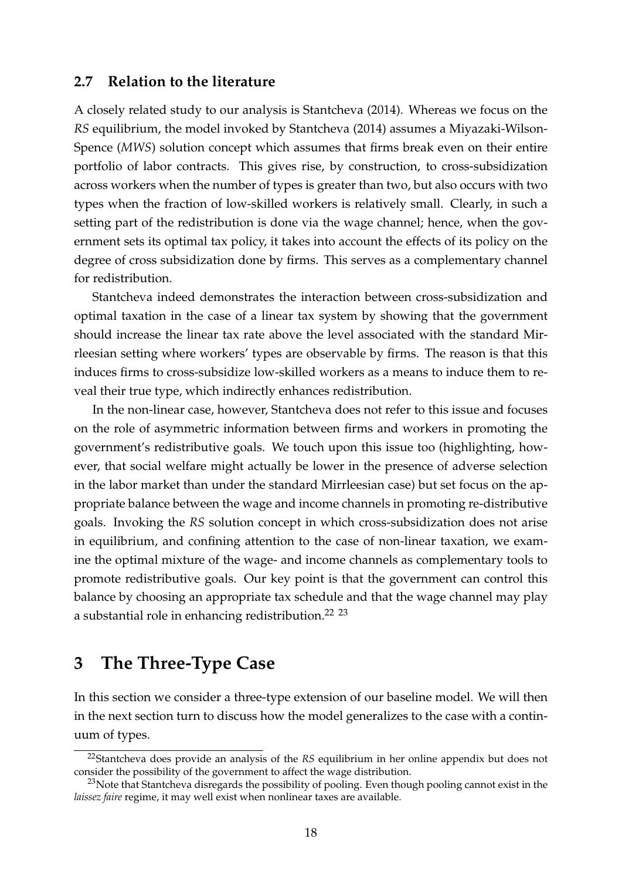#### **2.7 Relation to the literature**

A closely related study to our analysis is Stantcheva (2014). Whereas we focus on the *RS* equilibrium, the model invoked by Stantcheva (2014) assumes a Miyazaki-Wilson-Spence (*MWS*) solution concept which assumes that firms break even on their entire portfolio of labor contracts. This gives rise, by construction, to cross-subsidization across workers when the number of types is greater than two, but also occurs with two types when the fraction of low-skilled workers is relatively small. Clearly, in such a setting part of the redistribution is done via the wage channel; hence, when the government sets its optimal tax policy, it takes into account the effects of its policy on the degree of cross subsidization done by firms. This serves as a complementary channel for redistribution.

Stantcheva indeed demonstrates the interaction between cross-subsidization and optimal taxation in the case of a linear tax system by showing that the government should increase the linear tax rate above the level associated with the standard Mirrleesian setting where workers' types are observable by firms. The reason is that this induces firms to cross-subsidize low-skilled workers as a means to induce them to reveal their true type, which indirectly enhances redistribution.

In the non-linear case, however, Stantcheva does not refer to this issue and focuses on the role of asymmetric information between firms and workers in promoting the government's redistributive goals. We touch upon this issue too (highlighting, however, that social welfare might actually be lower in the presence of adverse selection in the labor market than under the standard Mirrleesian case) but set focus on the appropriate balance between the wage and income channels in promoting re-distributive goals. Invoking the *RS* solution concept in which cross-subsidization does not arise in equilibrium, and confining attention to the case of non-linear taxation, we examine the optimal mixture of the wage- and income channels as complementary tools to promote redistributive goals. Our key point is that the government can control this balance by choosing an appropriate tax schedule and that the wage channel may play a substantial role in enhancing redistribution.<sup>22</sup> <sup>23</sup>

# <span id="page-19-0"></span>**3 The Three-Type Case**

In this section we consider a three-type extension of our baseline model. We will then in the next section turn to discuss how the model generalizes to the case with a continuum of types.

<sup>22</sup>Stantcheva does provide an analysis of the *RS* equilibrium in her online appendix but does not consider the possibility of the government to affect the wage distribution.

<sup>&</sup>lt;sup>23</sup>Note that Stantcheva disregards the possibility of pooling. Even though pooling cannot exist in the *laissez faire* regime, it may well exist when nonlinear taxes are available.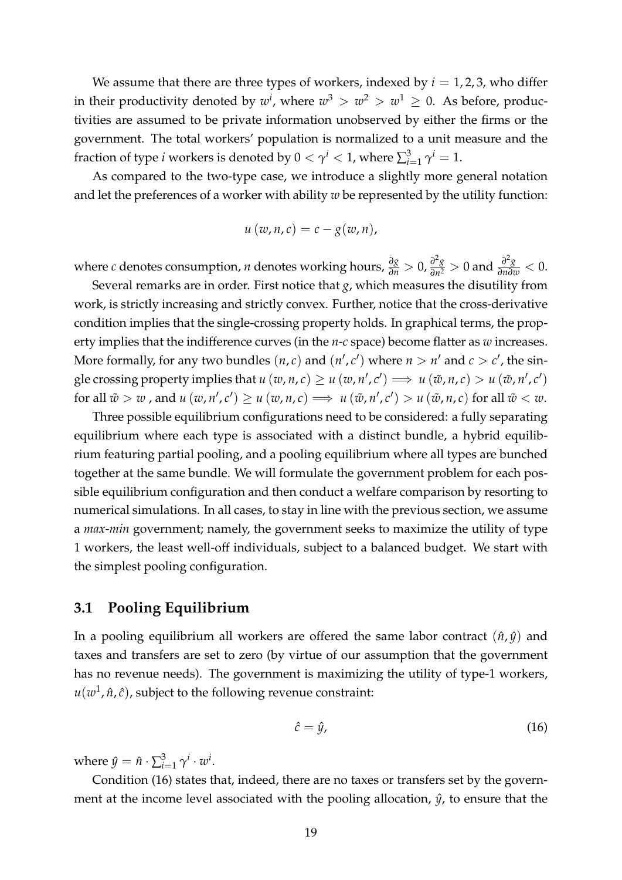We assume that there are three types of workers, indexed by  $i = 1, 2, 3$ , who differ in their productivity denoted by  $w^i$ , where  $w^3 > w^2 > w^1 \geq 0$ . As before, productivities are assumed to be private information unobserved by either the firms or the government. The total workers' population is normalized to a unit measure and the fraction of type *i* workers is denoted by  $0 < \gamma^i < 1$ , where  $\sum_{i=1}^3 \gamma^i = 1$ .

As compared to the two-type case, we introduce a slightly more general notation and let the preferences of a worker with ability *w* be represented by the utility function:

$$
u(w,n,c)=c-g(w,n),
$$

where c denotes consumption, *n* denotes working hours,  $\frac{\partial g}{\partial n} > 0$ ,  $\frac{\partial^2 g}{\partial n^2} > 0$  and  $\frac{\partial^2 g}{\partial n \partial w} < 0$ .

Several remarks are in order. First notice that *g*, which measures the disutility from work, is strictly increasing and strictly convex. Further, notice that the cross-derivative condition implies that the single-crossing property holds. In graphical terms, the property implies that the indifference curves (in the *n*-*c* space) become flatter as *w* increases. More formally, for any two bundles  $(n, c)$  and  $(n', c')$  where  $n > n'$  and  $c > c'$ , the single crossing property implies that  $u(w, n, c) \ge u(w, n', c') \implies u(\tilde{w}, n, c) > u(\tilde{w}, n', c')$ for all  $\tilde{w} > w$  , and  $u(w, n', c') \ge u(w, n, c) \implies u(\tilde{w}, n', c') > u(\tilde{w}, n, c)$  for all  $\tilde{w} < w$ .

Three possible equilibrium configurations need to be considered: a fully separating equilibrium where each type is associated with a distinct bundle, a hybrid equilibrium featuring partial pooling, and a pooling equilibrium where all types are bunched together at the same bundle. We will formulate the government problem for each possible equilibrium configuration and then conduct a welfare comparison by resorting to numerical simulations. In all cases, to stay in line with the previous section, we assume a *max-min* government; namely, the government seeks to maximize the utility of type 1 workers, the least well-off individuals, subject to a balanced budget. We start with the simplest pooling configuration.

### **3.1 Pooling Equilibrium**

In a pooling equilibrium all workers are offered the same labor contract  $(\hat{n}, \hat{y})$  and taxes and transfers are set to zero (by virtue of our assumption that the government has no revenue needs). The government is maximizing the utility of type-1 workers,  $u(w^1, \hat{n}, \hat{c})$ , subject to the following revenue constraint:

<span id="page-20-0"></span>
$$
\hat{c} = \hat{y},\tag{16}
$$

where  $\hat{y} = \hat{n} \cdot \sum_{i=1}^{3} \gamma^{i} \cdot w^{i}$ .

Condition [\(16\)](#page-20-0) states that, indeed, there are no taxes or transfers set by the government at the income level associated with the pooling allocation,  $\hat{y}$ , to ensure that the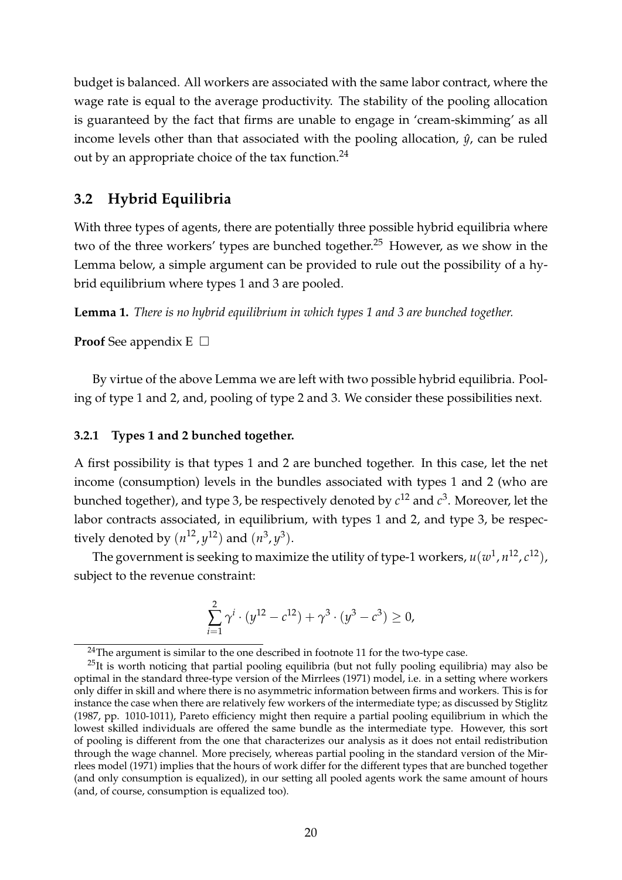budget is balanced. All workers are associated with the same labor contract, where the wage rate is equal to the average productivity. The stability of the pooling allocation is guaranteed by the fact that firms are unable to engage in 'cream-skimming' as all income levels other than that associated with the pooling allocation,  $\hat{y}$ , can be ruled out by an appropriate choice of the tax function.<sup>24</sup>

### **3.2 Hybrid Equilibria**

With three types of agents, there are potentially three possible hybrid equilibria where two of the three workers' types are bunched together.<sup>25</sup> However, as we show in the Lemma below, a simple argument can be provided to rule out the possibility of a hybrid equilibrium where types 1 and 3 are pooled.

<span id="page-21-0"></span>**Lemma 1.** *There is no hybrid equilibrium in which types 1 and 3 are bunched together.*

### **Proof** See appendix  $E \Box$

By virtue of the above Lemma we are left with two possible hybrid equilibria. Pooling of type 1 and 2, and, pooling of type 2 and 3. We consider these possibilities next.

#### **3.2.1 Types 1 and 2 bunched together.**

A first possibility is that types 1 and 2 are bunched together. In this case, let the net income (consumption) levels in the bundles associated with types 1 and 2 (who are bunched together), and type 3, be respectively denoted by  $c^{12}$  and  $c^3$ . Moreover, let the labor contracts associated, in equilibrium, with types 1 and 2, and type 3, be respectively denoted by  $(n^{12}, y^{12})$  and  $(n^3, y^3)$ .

The government is seeking to maximize the utility of type-1 workers,  $u(w^1, n^{12}, c^{12})$ , subject to the revenue constraint:

$$
\sum_{i=1}^{2} \gamma^{i} \cdot (y^{12} - c^{12}) + \gamma^{3} \cdot (y^{3} - c^{3}) \ge 0,
$$

<sup>&</sup>lt;sup>24</sup>The argument is similar to the one described in footnote 11 for the two-type case.

 $25$ It is worth noticing that partial pooling equilibria (but not fully pooling equilibria) may also be optimal in the standard three-type version of the Mirrlees (1971) model, i.e. in a setting where workers only differ in skill and where there is no asymmetric information between firms and workers. This is for instance the case when there are relatively few workers of the intermediate type; as discussed by Stiglitz (1987, pp. 1010-1011), Pareto efficiency might then require a partial pooling equilibrium in which the lowest skilled individuals are offered the same bundle as the intermediate type. However, this sort of pooling is different from the one that characterizes our analysis as it does not entail redistribution through the wage channel. More precisely, whereas partial pooling in the standard version of the Mirrlees model (1971) implies that the hours of work differ for the different types that are bunched together (and only consumption is equalized), in our setting all pooled agents work the same amount of hours (and, of course, consumption is equalized too).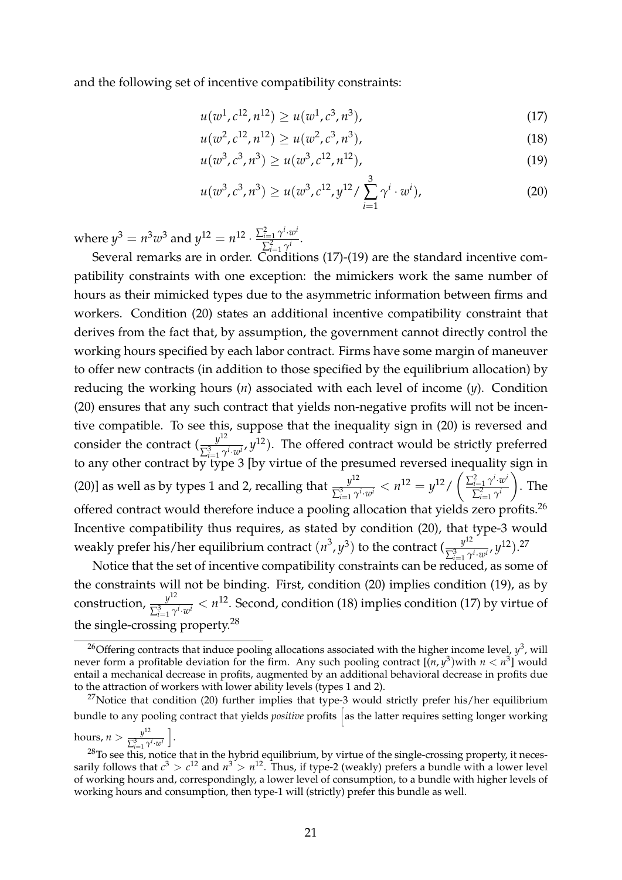and the following set of incentive compatibility constraints:

<span id="page-22-0"></span>
$$
u(w^1, c^{12}, n^{12}) \ge u(w^1, c^3, n^3), \tag{17}
$$

<span id="page-22-3"></span><span id="page-22-1"></span>
$$
u(w^2, c^{12}, n^{12}) \ge u(w^2, c^3, n^3), \tag{18}
$$

$$
u(w^3, c^3, n^3) \ge u(w^3, c^{12}, n^{12}), \tag{19}
$$

<span id="page-22-2"></span>
$$
u(w^3, c^3, n^3) \ge u(w^3, c^{12}, y^{12} / \sum_{i=1}^3 \gamma^i \cdot w^i),
$$
 (20)

where  $y^3 = n^3w^3$  and  $y^{12} = n^{12} \cdot \frac{\sum_{i=1}^2 \gamma^i \cdot w^i}{\sum_{i=1}^2 \gamma^i}$  $\sum_{i=1}^{i=1} \frac{\gamma^{i}}{\gamma^{i}}$ .

Several remarks are in order. Conditions [\(17\)](#page-22-0)-[\(19\)](#page-22-1) are the standard incentive compatibility constraints with one exception: the mimickers work the same number of hours as their mimicked types due to the asymmetric information between firms and workers. Condition [\(20\)](#page-22-2) states an additional incentive compatibility constraint that derives from the fact that, by assumption, the government cannot directly control the working hours specified by each labor contract. Firms have some margin of maneuver to offer new contracts (in addition to those specified by the equilibrium allocation) by reducing the working hours (*n*) associated with each level of income (*y*). Condition [\(20\)](#page-22-2) ensures that any such contract that yields non-negative profits will not be incentive compatible. To see this, suppose that the inequality sign in [\(20\)](#page-22-2) is reversed and consider the contract  $(\frac{y^{12}}{\sum_{i=1}^{3} \gamma^i \cdot w^i}, y^{12})$ . The offered contract would be strictly preferred to any other contract by type 3 [by virtue of the presumed reversed inequality sign in [\(20\)](#page-22-2)] as well as by types 1 and 2, recalling that  $\frac{y^{12}}{\sum_{i=1}^{3} \gamma^{i} \cdot w^{i}} < n^{12} = y^{12}/$  $\left( \frac{\sum_{i=1}^{2} \gamma^{i} \cdot w^{i}}{\sum_{i=1}^{2} \gamma^{i} \cdot w^{i}} \right)$  $\sum_{i=1}^2 \gamma^i$ ◆ . The offered contract would therefore induce a pooling allocation that yields zero profits.<sup>26</sup> Incentive compatibility thus requires, as stated by condition [\(20\)](#page-22-2), that type-3 would weakly prefer his/her equilibrium contract  $(n^3, y^3)$  to the contract  $(\frac{y^{12}}{\sum_{i=1}^3 \gamma^i \cdot w^i}, y^{12})^{27}$ .

Notice that the set of incentive compatibility constraints can be reduced, as some of the constraints will not be binding. First, condition [\(20\)](#page-22-2) implies condition [\(19\)](#page-22-1), as by construction,  $\frac{y^{12}}{\sum_{i=1}^{3} \gamma^i \cdot w^i} < n^{12}$ . Second, condition [\(18\)](#page-22-3) implies condition [\(17\)](#page-22-0) by virtue of the single-crossing property.28

<sup>&</sup>lt;sup>26</sup>Offering contracts that induce pooling allocations associated with the higher income level,  $y^3$ , will never form a profitable deviation for the firm. Any such pooling contract  $[(n, y^3)$  with  $n < n^3$  would entail a mechanical decrease in profits, augmented by an additional behavioral decrease in profits due to the attraction of workers with lower ability levels (types 1 and 2).

 $27$ Notice that condition [\(20\)](#page-22-2) further implies that type-3 would strictly prefer his/her equilibrium bundle to any pooling contract that yields *positive* profits as the latter requires setting longer working hours,  $n > \frac{y^{12}}{\sum_{i=1}^{3} \gamma^{i} \cdot w^{i}}$ i .

 $^{28}$ To see this, notice that in the hybrid equilibrium, by virtue of the single-crossing property, it necessarily follows that  $c^3 > c^{12}$  and  $n^3 > n^{12}$ . Thus, if type-2 (weakly) prefers a bundle with a lower level of working hours and, correspondingly, a lower level of consumption, to a bundle with higher levels of working hours and consumption, then type-1 will (strictly) prefer this bundle as well.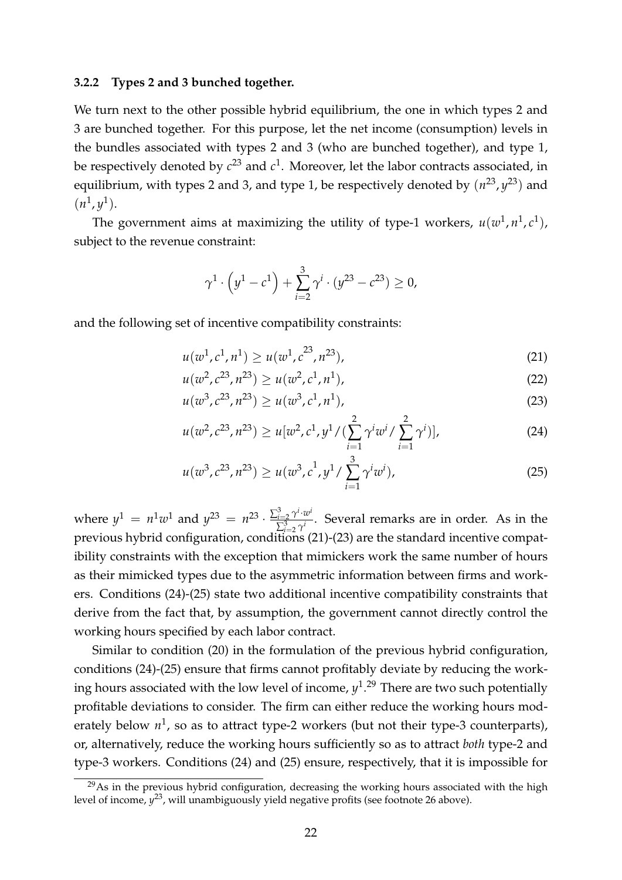#### **3.2.2 Types 2 and 3 bunched together.**

We turn next to the other possible hybrid equilibrium, the one in which types 2 and 3 are bunched together. For this purpose, let the net income (consumption) levels in the bundles associated with types 2 and 3 (who are bunched together), and type 1, be respectively denoted by  $c^{23}$  and  $c^1$ . Moreover, let the labor contracts associated, in equilibrium, with types 2 and 3, and type 1, be respectively denoted by  $(n^{23}, y^{23})$  and  $(n^1, y^1)$ .

The government aims at maximizing the utility of type-1 workers,  $u(w^1, n^1, c^1)$ , subject to the revenue constraint:

<span id="page-23-4"></span><span id="page-23-1"></span><span id="page-23-0"></span>
$$
\gamma^1 \cdot \left(y^1 - c^1\right) + \sum_{i=2}^3 \gamma^i \cdot (y^{23} - c^{23}) \ge 0,
$$

and the following set of incentive compatibility constraints:

$$
u(w^1, c^1, n^1) \ge u(w^1, c^{23}, n^{23}), \tag{21}
$$

$$
u(w^2, c^{23}, n^{23}) \ge u(w^2, c^1, n^1), \tag{22}
$$

 $u(w^3, c^{23}, n^{23}) > u(w^3, c^1, n^1),$  (23)

<span id="page-23-2"></span>
$$
u(w^2, c^{23}, n^{23}) \ge u[w^2, c^1, y^1/(\sum_{i=1}^2 \gamma^i w^i / \sum_{i=1}^2 \gamma^i)],
$$
 (24)

<span id="page-23-3"></span>
$$
u(w^3, c^{23}, n^{23}) \ge u(w^3, c^1, y^1 / \sum_{i=1}^3 \gamma^i w^i), \tag{25}
$$

where  $y^1 = n^1w^1$  and  $y^{23} = n^{23} \cdot \frac{\sum_{i=2}^3 \gamma^i \cdot w^i}{\sum_{i=2}^3 \gamma^i}$  $\sum_{i=2}^{i=2} \frac{\gamma^{i}}{\gamma^{i}}$ . Several remarks are in order. As in the previous hybrid configuration, conditions [\(21\)](#page-23-0)-[\(23\)](#page-23-1) are the standard incentive compatibility constraints with the exception that mimickers work the same number of hours as their mimicked types due to the asymmetric information between firms and workers. Conditions [\(24\)](#page-23-2)-[\(25\)](#page-23-3) state two additional incentive compatibility constraints that derive from the fact that, by assumption, the government cannot directly control the working hours specified by each labor contract.

Similar to condition [\(20\)](#page-22-2) in the formulation of the previous hybrid configuration, conditions [\(24\)](#page-23-2)-[\(25\)](#page-23-3) ensure that firms cannot profitably deviate by reducing the working hours associated with the low level of income, *y*1. <sup>29</sup> There are two such potentially profitable deviations to consider. The firm can either reduce the working hours moderately below  $n^1$ , so as to attract type-2 workers (but not their type-3 counterparts), or, alternatively, reduce the working hours sufficiently so as to attract *both* type-2 and type-3 workers. Conditions [\(24\)](#page-23-2) and [\(25\)](#page-23-3) ensure, respectively, that it is impossible for

 $29\text{As}$  in the previous hybrid configuration, decreasing the working hours associated with the high level of income, *y*23, will unambiguously yield negative profits (see footnote 26 above).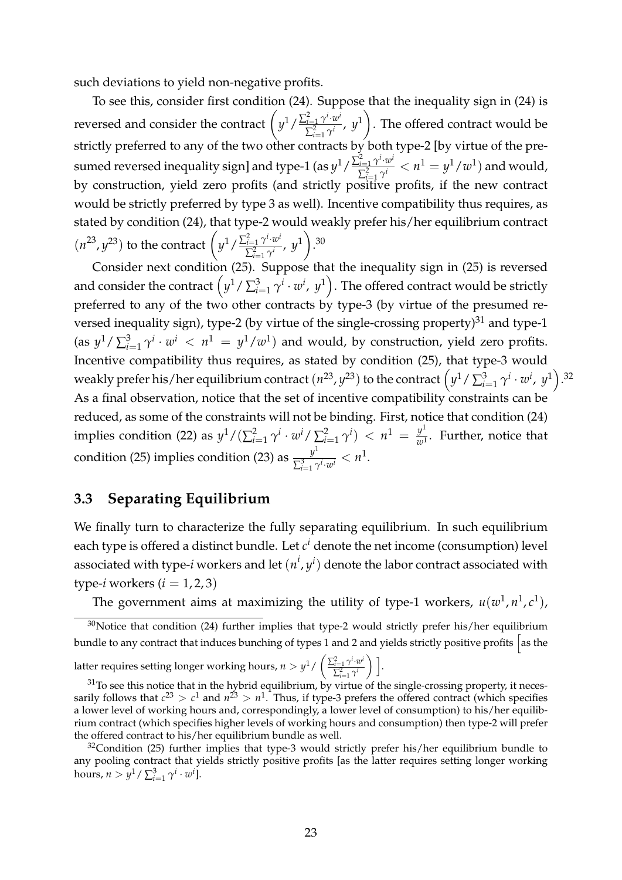such deviations to yield non-negative profits.

To see this, consider first condition [\(24\)](#page-23-2). Suppose that the inequality sign in [\(24\)](#page-23-2) is reversed and consider the contract  $\left(y^{1}/\frac{\sum_{i=1}^{2} \gamma^{i} \cdot w^{i}}{\sum_{i=1}^{2} \gamma^{i}}\right)$  $\frac{\tilde{q}=1}{\sum_{i=1}^{2}\gamma^{i}}$ ,  $y^{1}$ ◆ . The offered contract would be strictly preferred to any of the two other contracts by both type-2 [by virtue of the presumed reversed inequality sign] and type-1 (as  $y^1/\frac{\sum_{i=1}^2 \gamma^i \cdot w^i}{\sum_{i=1}^2 \gamma^i}$  $\frac{\tilde{d}-1}{\sum_{i=1}^2 \gamma^i} < n^1 = y^1/w^1)$  and would, by construction, yield zero profits (and strictly positive profits, if the new contract would be strictly preferred by type 3 as well). Incentive compatibility thus requires, as stated by condition [\(24\)](#page-23-2), that type-2 would weakly prefer his/her equilibrium contract  $(n^{23}, y^{23})$  to the contract  $\left(y^{1}/\frac{\sum_{i=1}^{2} \gamma^{i} \cdot w^{i}}{\sum_{i=1}^{2} \gamma^{i}}\right)$  $\frac{\tilde{a}=1 \ \gamma \cdot w^i}{\sum_{i=1}^2 \gamma^i}$ ,  $y^1$ ◆ . 30

Consider next condition [\(25\)](#page-23-3). Suppose that the inequality sign in (25) is reversed and consider the contract  $(y^1/\sum_{i=1}^3 \gamma^i \cdot w^i, y^1)$ . The offered contract would be strictly preferred to any of the two other contracts by type-3 (by virtue of the presumed reversed inequality sign), type-2 (by virtue of the single-crossing property) $31$  and type-1  $\frac{f}{f(x)} \left\{ \frac{d}{dx} \right\} \left\{ y^i \cdot w^i \right\} < \frac{n^1}{y^1 / w^1}$  and would, by construction, yield zero profits. Incentive compatibility thus requires, as stated by condition [\(25\)](#page-23-3), that type-3 would weakly prefer his/her equilibrium contract  $(n^{23}, y^{23})$  to the contract  $(y^1/\sum_{i=1}^3 \gamma^i \cdot w^i, y^1)$ .<sup>32</sup> As a final observation, notice that the set of incentive compatibility constraints can be reduced, as some of the constraints will not be binding. First, notice that condition [\(24\)](#page-23-2) implies condition [\(22\)](#page-23-4) as  $y^1/(\sum_{i=1}^2 \gamma^i \cdot w^i/\sum_{i=1}^2 \gamma^i) < n^1 = \frac{y^1}{w^1}$ . Further, notice that condition [\(25\)](#page-23-3) implies condition [\(23\)](#page-23-1) as  $\frac{y^1}{\sum_{i=1}^3 \gamma^i \cdot w^i} < n^1$ .

### **3.3 Separating Equilibrium**

We finally turn to characterize the fully separating equilibrium. In such equilibrium each type is offered a distinct bundle. Let  $c^i$  denote the net income (consumption) level associated with type-*i* workers and let  $(n^i, y^i)$  denote the labor contract associated with type-*i* workers  $(i = 1, 2, 3)$ 

The government aims at maximizing the utility of type-1 workers,  $u(w^1, n^1, c^1)$ ,

latter requires setting longer working hours,  $n > y^1 / \left( \frac{\sum_{i=1}^2 \gamma^i \cdot w^i}{\sum_{i=1}^2 w^i} \right)$  $\sum_{i=1}^{2} \gamma^{i}$  $\bigg)$  ].

 $30$ Notice that condition [\(24\)](#page-23-2) further implies that type-2 would strictly prefer his/her equilibrium bundle to any contract that induces bunching of types 1 and 2 and yields strictly positive profits as the

 $31$ To see this notice that in the hybrid equilibrium, by virtue of the single-crossing property, it necessarily follows that  $c^{23} > c^1$  and  $n^{23} > n^1$ . Thus, if type-3 prefers the offered contract (which specifies a lower level of working hours and, correspondingly, a lower level of consumption) to his/her equilibrium contract (which specifies higher levels of working hours and consumption) then type-2 will prefer the offered contract to his/her equilibrium bundle as well.

 $32$ Condition [\(25\)](#page-23-3) further implies that type-3 would strictly prefer his/her equilibrium bundle to any pooling contract that yields strictly positive profits [as the latter requires setting longer working hours,  $n > y^1 / \sum_{i=1}^3 \gamma^i \cdot w^i$ .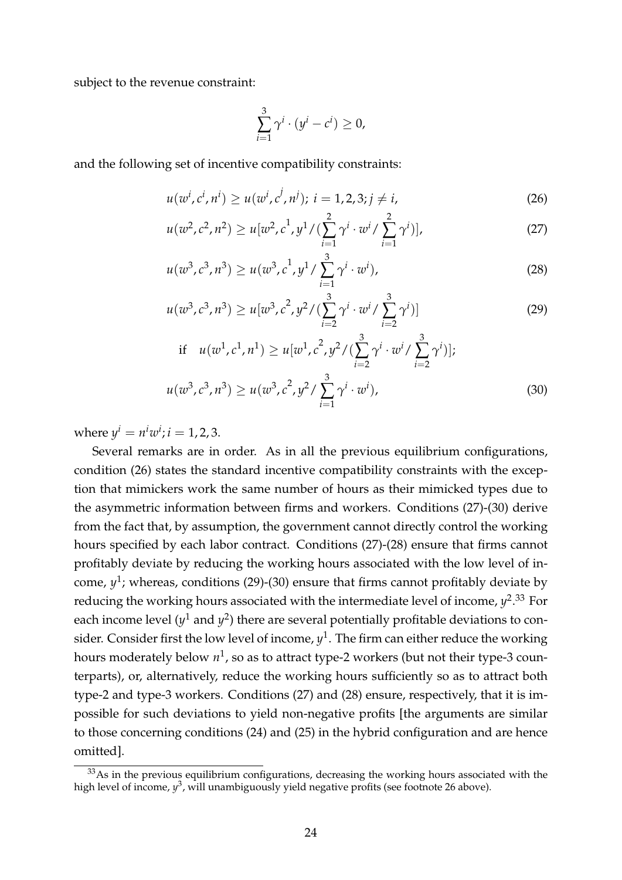subject to the revenue constraint:

<span id="page-25-4"></span><span id="page-25-3"></span><span id="page-25-1"></span><span id="page-25-0"></span>
$$
\sum_{i=1}^3 \gamma^i \cdot (y^i - c^i) \ge 0,
$$

and the following set of incentive compatibility constraints:

$$
u(w^i, c^i, n^i) \ge u(w^i, c^j, n^j); \ i = 1, 2, 3; j \ne i,
$$
 (26)

$$
u(w^2, c^2, n^2) \ge u[w^2, c^1, y^1/(\sum_{i=1}^2 \gamma^i \cdot w^i / \sum_{i=1}^2 \gamma^i)],
$$
 (27)

$$
u(w^3, c^3, n^3) \ge u(w^3, c^1, y^1 / \sum_{i=1}^3 \gamma^i \cdot w^i),
$$
 (28)

$$
u(w^3, c^3, n^3) \ge u[w^3, c^2, y^2/(\sum_{i=2}^3 \gamma^i \cdot w^i / \sum_{i=2}^3 \gamma^i)]
$$
 (29)

<span id="page-25-2"></span>if 
$$
u(w^1, c^1, n^1) \geq u[w^1, c^2, y^2/(\sum_{i=2}^3 \gamma^i \cdot w^i / \sum_{i=2}^3 \gamma^i)];
$$
  
 $u(w^3, c^3, n^3) \geq u(w^3, c^2, y^2 / \sum_{i=1}^3 \gamma^i \cdot w^i),$  (30)

where  $y^{i} = n^{i}w^{i}$ ; *i* = 1, 2, 3.

Several remarks are in order. As in all the previous equilibrium configurations, condition [\(26\)](#page-25-0) states the standard incentive compatibility constraints with the exception that mimickers work the same number of hours as their mimicked types due to the asymmetric information between firms and workers. Conditions [\(27\)](#page-25-1)-[\(30\)](#page-25-2) derive from the fact that, by assumption, the government cannot directly control the working hours specified by each labor contract. Conditions [\(27\)](#page-25-1)-[\(28\)](#page-25-3) ensure that firms cannot profitably deviate by reducing the working hours associated with the low level of income,  $y^1$ ; whereas, conditions [\(29\)](#page-25-4)-[\(30\)](#page-25-2) ensure that firms cannot profitably deviate by reducing the working hours associated with the intermediate level of income,  $y^{2.33}$  For each income level  $(y^1$  and  $y^2$ ) there are several potentially profitable deviations to consider. Consider first the low level of income,  $y^1$ . The firm can either reduce the working hours moderately below  $n^1$ , so as to attract type-2 workers (but not their type-3 counterparts), or, alternatively, reduce the working hours sufficiently so as to attract both type-2 and type-3 workers. Conditions [\(27\)](#page-25-1) and [\(28\)](#page-25-3) ensure, respectively, that it is impossible for such deviations to yield non-negative profits [the arguments are similar to those concerning conditions [\(24\)](#page-23-2) and [\(25\)](#page-23-3) in the hybrid configuration and are hence omitted].

<sup>&</sup>lt;sup>33</sup>As in the previous equilibrium configurations, decreasing the working hours associated with the high level of income,  $y^3$ , will unambiguously yield negative profits (see footnote 26 above).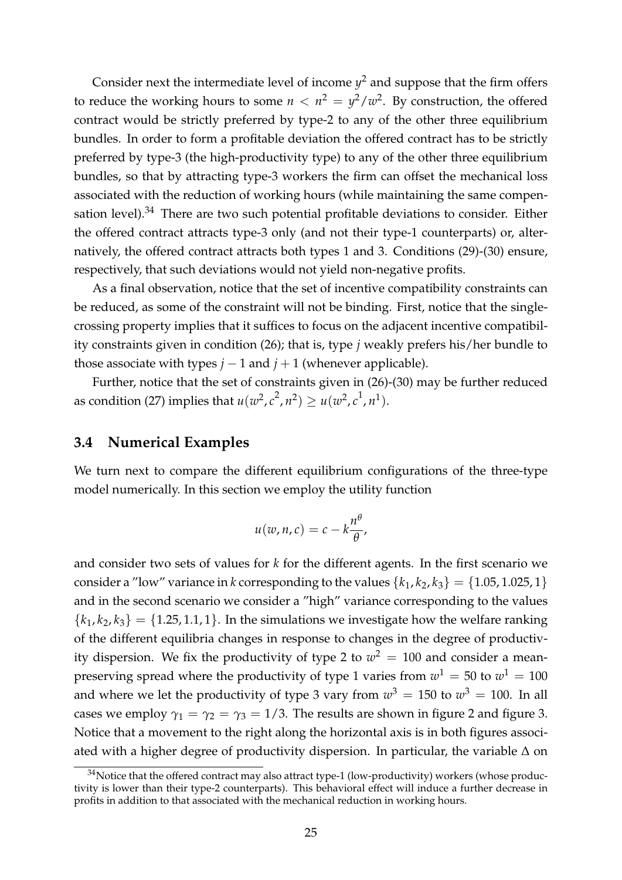Consider next the intermediate level of income  $y^2$  and suppose that the firm offers to reduce the working hours to some  $n < n^2 = \frac{y^2}{w^2}$ . By construction, the offered contract would be strictly preferred by type-2 to any of the other three equilibrium bundles. In order to form a profitable deviation the offered contract has to be strictly preferred by type-3 (the high-productivity type) to any of the other three equilibrium bundles, so that by attracting type-3 workers the firm can offset the mechanical loss associated with the reduction of working hours (while maintaining the same compensation level).<sup>34</sup> There are two such potential profitable deviations to consider. Either the offered contract attracts type-3 only (and not their type-1 counterparts) or, alternatively, the offered contract attracts both types 1 and 3. Conditions [\(29\)](#page-25-4)-[\(30\)](#page-25-2) ensure, respectively, that such deviations would not yield non-negative profits.

As a final observation, notice that the set of incentive compatibility constraints can be reduced, as some of the constraint will not be binding. First, notice that the singlecrossing property implies that it suffices to focus on the adjacent incentive compatibility constraints given in condition [\(26\)](#page-25-0); that is, type *j* weakly prefers his/her bundle to those associate with types  $j - 1$  and  $j + 1$  (whenever applicable).

Further, notice that the set of constraints given in [\(26\)](#page-25-0)-[\(30\)](#page-25-2) may be further reduced as condition [\(27\)](#page-25-1) implies that  $u(w^2, c^2, n^2) \ge u(w^2, c^1, n^1)$ .

#### **3.4 Numerical Examples**

We turn next to compare the different equilibrium configurations of the three-type model numerically. In this section we employ the utility function

$$
u(w,n,c)=c-k\frac{n^{\theta}}{\theta},
$$

and consider two sets of values for *k* for the different agents. In the first scenario we consider a "low" variance in *k* corresponding to the values  $\{k_1, k_2, k_3\} = \{1.05, 1.025, 1\}$ and in the second scenario we consider a "high" variance corresponding to the values  ${k_1, k_2, k_3} = {1.25, 1.1, 1}$ . In the simulations we investigate how the welfare ranking of the different equilibria changes in response to changes in the degree of productivity dispersion. We fix the productivity of type 2 to  $w^2 = 100$  and consider a meanpreserving spread where the productivity of type 1 varies from  $w^1 = 50$  to  $w^1 = 100$ and where we let the productivity of type 3 vary from  $w^3 = 150$  to  $w^3 = 100$ . In all cases we employ  $\gamma_1 = \gamma_2 = \gamma_3 = 1/3$ . The results are shown in figure [2](#page-27-0) and figure [3.](#page-27-1) Notice that a movement to the right along the horizontal axis is in both figures associated with a higher degree of productivity dispersion. In particular, the variable  $\Delta$  on

<sup>&</sup>lt;sup>34</sup>Notice that the offered contract may also attract type-1 (low-productivity) workers (whose productivity is lower than their type-2 counterparts). This behavioral effect will induce a further decrease in profits in addition to that associated with the mechanical reduction in working hours.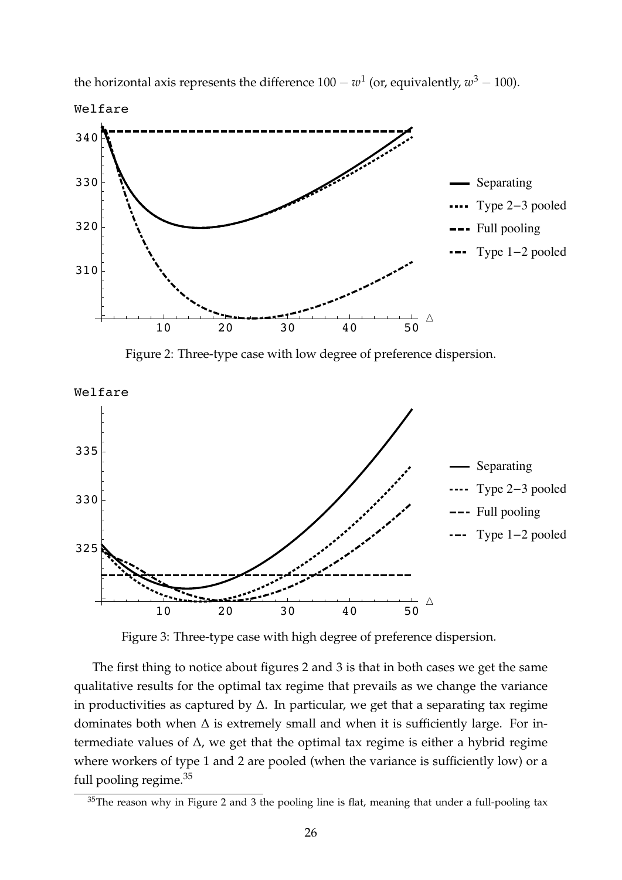<span id="page-27-0"></span>

the horizontal axis represents the difference  $100 - w^1$  (or, equivalently,  $w^3 - 100$ ).

Figure 2: Three-type case with low degree of preference dispersion.

<span id="page-27-1"></span>

Figure 3: Three-type case with high degree of preference dispersion.

The first thing to notice about figures 2 and 3 is that in both cases we get the same qualitative results for the optimal tax regime that prevails as we change the variance in productivities as captured by  $\Delta$ . In particular, we get that a separating tax regime dominates both when  $\Delta$  is extremely small and when it is sufficiently large. For intermediate values of  $\Delta$ , we get that the optimal tax regime is either a hybrid regime where workers of type 1 and 2 are pooled (when the variance is sufficiently low) or a full pooling regime.<sup>35</sup>

 $35$ The reason why in Figure 2 and 3 the pooling line is flat, meaning that under a full-pooling tax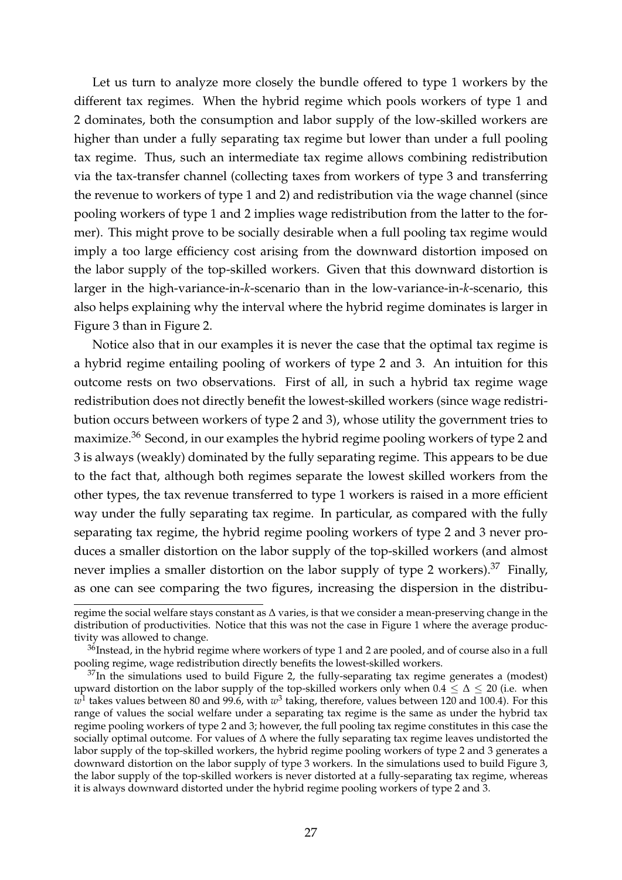Let us turn to analyze more closely the bundle offered to type 1 workers by the different tax regimes. When the hybrid regime which pools workers of type 1 and 2 dominates, both the consumption and labor supply of the low-skilled workers are higher than under a fully separating tax regime but lower than under a full pooling tax regime. Thus, such an intermediate tax regime allows combining redistribution via the tax-transfer channel (collecting taxes from workers of type 3 and transferring the revenue to workers of type 1 and 2) and redistribution via the wage channel (since pooling workers of type 1 and 2 implies wage redistribution from the latter to the former). This might prove to be socially desirable when a full pooling tax regime would imply a too large efficiency cost arising from the downward distortion imposed on the labor supply of the top-skilled workers. Given that this downward distortion is larger in the high-variance-in-*k*-scenario than in the low-variance-in-*k*-scenario, this also helps explaining why the interval where the hybrid regime dominates is larger in Figure 3 than in Figure 2.

Notice also that in our examples it is never the case that the optimal tax regime is a hybrid regime entailing pooling of workers of type 2 and 3. An intuition for this outcome rests on two observations. First of all, in such a hybrid tax regime wage redistribution does not directly benefit the lowest-skilled workers (since wage redistribution occurs between workers of type 2 and 3), whose utility the government tries to maximize.<sup>36</sup> Second, in our examples the hybrid regime pooling workers of type 2 and 3 is always (weakly) dominated by the fully separating regime. This appears to be due to the fact that, although both regimes separate the lowest skilled workers from the other types, the tax revenue transferred to type 1 workers is raised in a more efficient way under the fully separating tax regime. In particular, as compared with the fully separating tax regime, the hybrid regime pooling workers of type 2 and 3 never produces a smaller distortion on the labor supply of the top-skilled workers (and almost never implies a smaller distortion on the labor supply of type 2 workers).<sup>37</sup> Finally, as one can see comparing the two figures, increasing the dispersion in the distribu-

regime the social welfare stays constant as  $\Delta$  varies, is that we consider a mean-preserving change in the distribution of productivities. Notice that this was not the case in Figure 1 where the average productivity was allowed to change.

 $36$ Instead, in the hybrid regime where workers of type 1 and 2 are pooled, and of course also in a full pooling regime, wage redistribution directly benefits the lowest-skilled workers.

 $37$ In the simulations used to build Figure 2, the fully-separating tax regime generates a (modest) upward distortion on the labor supply of the top-skilled workers only when  $0.4 \leq \Delta \leq 20$  (i.e. when  $w<sup>1</sup>$  takes values between 80 and 99.6, with  $w<sup>3</sup>$  taking, therefore, values between 120 and 100.4). For this range of values the social welfare under a separating tax regime is the same as under the hybrid tax regime pooling workers of type 2 and 3; however, the full pooling tax regime constitutes in this case the socially optimal outcome. For values of  $\Delta$  where the fully separating tax regime leaves undistorted the labor supply of the top-skilled workers, the hybrid regime pooling workers of type 2 and 3 generates a downward distortion on the labor supply of type 3 workers. In the simulations used to build Figure 3, the labor supply of the top-skilled workers is never distorted at a fully-separating tax regime, whereas it is always downward distorted under the hybrid regime pooling workers of type 2 and 3.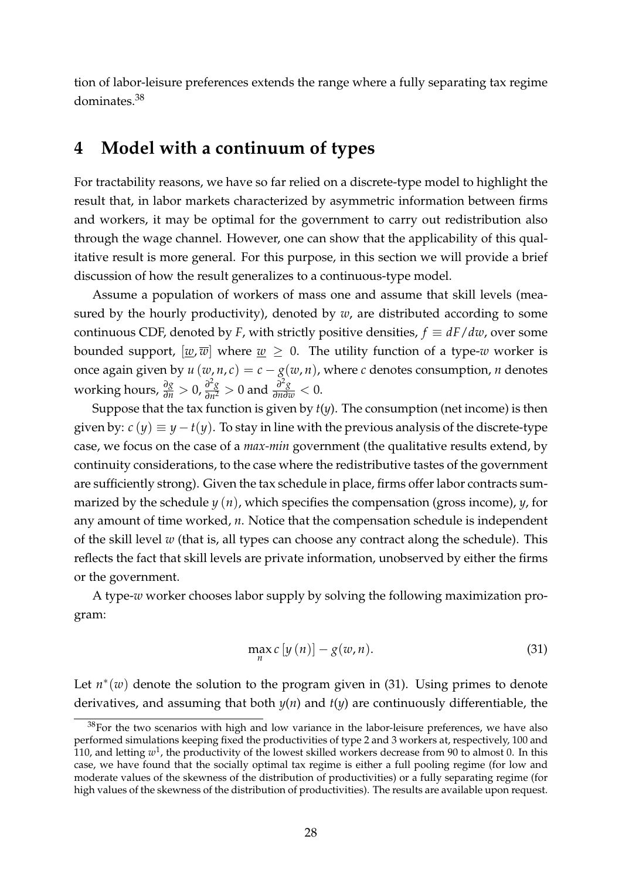tion of labor-leisure preferences extends the range where a fully separating tax regime dominates.38

# <span id="page-29-0"></span>**4 Model with a continuum of types**

For tractability reasons, we have so far relied on a discrete-type model to highlight the result that, in labor markets characterized by asymmetric information between firms and workers, it may be optimal for the government to carry out redistribution also through the wage channel. However, one can show that the applicability of this qualitative result is more general. For this purpose, in this section we will provide a brief discussion of how the result generalizes to a continuous-type model.

Assume a population of workers of mass one and assume that skill levels (measured by the hourly productivity), denoted by *w*, are distributed according to some continuous CDF, denoted by *F*, with strictly positive densities,  $f \equiv dF/dw$ , over some bounded support,  $[w, \overline{w}]$  where  $w \geq 0$ . The utility function of a type-*w* worker is once again given by  $u(w, n, c) = c - g(w, n)$ , where *c* denotes consumption, *n* denotes working hours,  $\frac{\partial g}{\partial n} > 0$ ,  $\frac{\partial^2 g}{\partial n^2} > 0$  and  $\frac{\partial^2 g}{\partial n \partial w} < 0$ .

Suppose that the tax function is given by *t*(*y*). The consumption (net income) is then given by:  $c(y) \equiv y - t(y)$ . To stay in line with the previous analysis of the discrete-type case, we focus on the case of a *max-min* government (the qualitative results extend, by continuity considerations, to the case where the redistributive tastes of the government are sufficiently strong). Given the tax schedule in place, firms offer labor contracts summarized by the schedule *y* (*n*), which specifies the compensation (gross income), *y*, for any amount of time worked, *n*. Notice that the compensation schedule is independent of the skill level *w* (that is, all types can choose any contract along the schedule). This reflects the fact that skill levels are private information, unobserved by either the firms or the government.

A type-*w* worker chooses labor supply by solving the following maximization program:

<span id="page-29-1"></span>
$$
\max_{n} c \left[ y \left( n \right) \right] - g(w, n). \tag{31}
$$

Let  $n^*(w)$  denote the solution to the program given in [\(31\)](#page-29-1). Using primes to denote derivatives, and assuming that both *y*(*n*) and *t*(*y*) are continuously differentiable, the

 $38$ For the two scenarios with high and low variance in the labor-leisure preferences, we have also performed simulations keeping fixed the productivities of type 2 and 3 workers at, respectively, 100 and 110, and letting *w*1, the productivity of the lowest skilled workers decrease from 90 to almost 0. In this case, we have found that the socially optimal tax regime is either a full pooling regime (for low and moderate values of the skewness of the distribution of productivities) or a fully separating regime (for high values of the skewness of the distribution of productivities). The results are available upon request.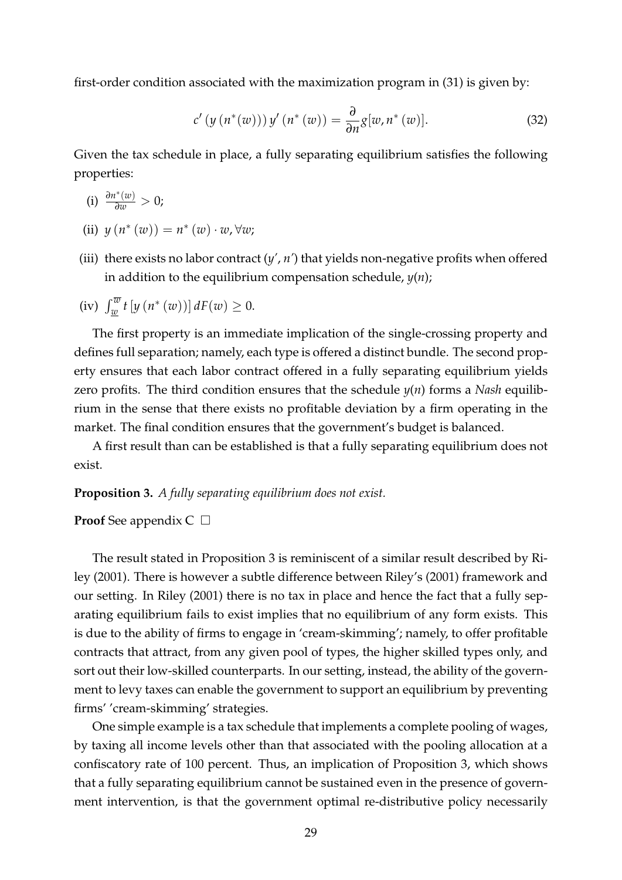first-order condition associated with the maximization program in [\(31\)](#page-29-1) is given by:

$$
c'\left(y\left(n^*(w)\right)\right)y'\left(n^*\left(w\right)\right) = \frac{\partial}{\partial n}g[w, n^*\left(w\right)].\tag{32}
$$

Given the tax schedule in place, a fully separating equilibrium satisfies the following properties:

- $(i)$   $\frac{\partial n^*(w)}{\partial w} > 0;$
- (ii)  $y(n^{*}(w)) = n^{*}(w) \cdot w, \forall w;$
- (iii) there exists no labor contract (*y'*, *n'*) that yields non-negative profits when offered in addition to the equilibrium compensation schedule, *y*(*n*);

(iv) 
$$
\int_{\underline{w}}^{\overline{w}} t \left[ y \left( n^*(w) \right) \right] dF(w) \geq 0.
$$

The first property is an immediate implication of the single-crossing property and defines full separation; namely, each type is offered a distinct bundle. The second property ensures that each labor contract offered in a fully separating equilibrium yields zero profits. The third condition ensures that the schedule *y*(*n*) forms a *Nash* equilibrium in the sense that there exists no profitable deviation by a firm operating in the market. The final condition ensures that the government's budget is balanced.

A first result than can be established is that a fully separating equilibrium does not exist.

#### <span id="page-30-0"></span>**Proposition 3.** *A fully separating equilibrium does not exist.*

**Proof** See appendix  $C \Box$ 

The result stated in Proposition [3](#page-30-0) is reminiscent of a similar result described by [Ri](#page-33-10)[ley](#page-33-10) [\(2001\)](#page-33-10). There is however a subtle difference between Riley's (2001) framework and our setting. In Riley (2001) there is no tax in place and hence the fact that a fully separating equilibrium fails to exist implies that no equilibrium of any form exists. This is due to the ability of firms to engage in 'cream-skimming'; namely, to offer profitable contracts that attract, from any given pool of types, the higher skilled types only, and sort out their low-skilled counterparts. In our setting, instead, the ability of the government to levy taxes can enable the government to support an equilibrium by preventing firms' 'cream-skimming' strategies.

One simple example is a tax schedule that implements a complete pooling of wages, by taxing all income levels other than that associated with the pooling allocation at a confiscatory rate of 100 percent. Thus, an implication of Proposition [3,](#page-30-0) which shows that a fully separating equilibrium cannot be sustained even in the presence of government intervention, is that the government optimal re-distributive policy necessarily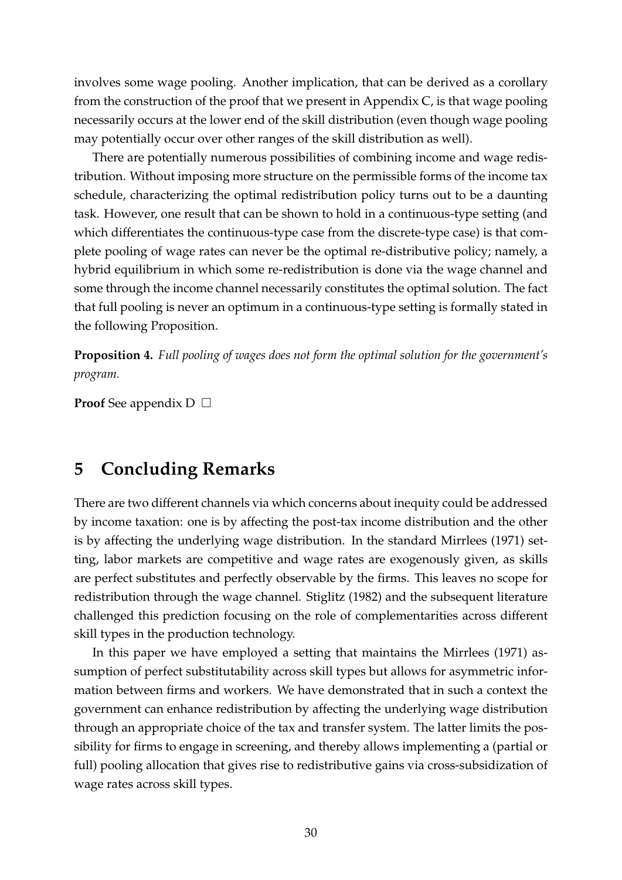involves some wage pooling. Another implication, that can be derived as a corollary from the construction of the proof that we present in Appendix C, is that wage pooling necessarily occurs at the lower end of the skill distribution (even though wage pooling may potentially occur over other ranges of the skill distribution as well).

There are potentially numerous possibilities of combining income and wage redistribution. Without imposing more structure on the permissible forms of the income tax schedule, characterizing the optimal redistribution policy turns out to be a daunting task. However, one result that can be shown to hold in a continuous-type setting (and which differentiates the continuous-type case from the discrete-type case) is that complete pooling of wage rates can never be the optimal re-distributive policy; namely, a hybrid equilibrium in which some re-redistribution is done via the wage channel and some through the income channel necessarily constitutes the optimal solution. The fact that full pooling is never an optimum in a continuous-type setting is formally stated in the following Proposition.

<span id="page-31-1"></span>**Proposition 4.** *Full pooling of wages does not form the optimal solution for the government's program.*

**Proof** See appendix  $D \Box$ 

# <span id="page-31-0"></span>**5 Concluding Remarks**

There are two different channels via which concerns about inequity could be addressed by income taxation: one is by affecting the post-tax income distribution and the other is by affecting the underlying wage distribution. In the standard Mirrlees (1971) setting, labor markets are competitive and wage rates are exogenously given, as skills are perfect substitutes and perfectly observable by the firms. This leaves no scope for redistribution through the wage channel. [Stiglitz](#page-33-11) [\(1982\)](#page-33-11) and the subsequent literature challenged this prediction focusing on the role of complementarities across different skill types in the production technology.

In this paper we have employed a setting that maintains the Mirrlees (1971) assumption of perfect substitutability across skill types but allows for asymmetric information between firms and workers. We have demonstrated that in such a context the government can enhance redistribution by affecting the underlying wage distribution through an appropriate choice of the tax and transfer system. The latter limits the possibility for firms to engage in screening, and thereby allows implementing a (partial or full) pooling allocation that gives rise to redistributive gains via cross-subsidization of wage rates across skill types.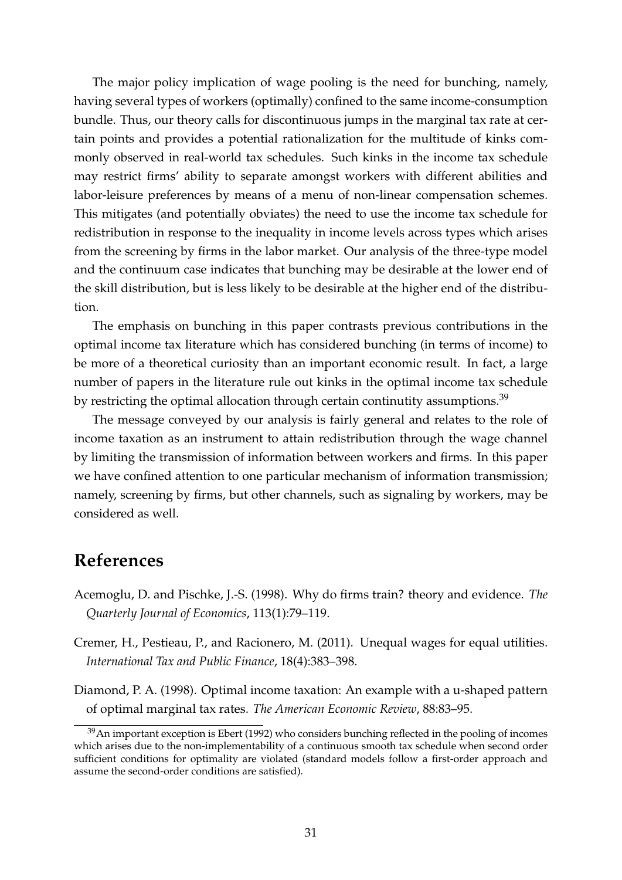The major policy implication of wage pooling is the need for bunching, namely, having several types of workers (optimally) confined to the same income-consumption bundle. Thus, our theory calls for discontinuous jumps in the marginal tax rate at certain points and provides a potential rationalization for the multitude of kinks commonly observed in real-world tax schedules. Such kinks in the income tax schedule may restrict firms' ability to separate amongst workers with different abilities and labor-leisure preferences by means of a menu of non-linear compensation schemes. This mitigates (and potentially obviates) the need to use the income tax schedule for redistribution in response to the inequality in income levels across types which arises from the screening by firms in the labor market. Our analysis of the three-type model and the continuum case indicates that bunching may be desirable at the lower end of the skill distribution, but is less likely to be desirable at the higher end of the distribution.

The emphasis on bunching in this paper contrasts previous contributions in the optimal income tax literature which has considered bunching (in terms of income) to be more of a theoretical curiosity than an important economic result. In fact, a large number of papers in the literature rule out kinks in the optimal income tax schedule by restricting the optimal allocation through certain continutity assumptions.<sup>39</sup>

The message conveyed by our analysis is fairly general and relates to the role of income taxation as an instrument to attain redistribution through the wage channel by limiting the transmission of information between workers and firms. In this paper we have confined attention to one particular mechanism of information transmission; namely, screening by firms, but other channels, such as signaling by workers, may be considered as well.

### **References**

- <span id="page-32-1"></span>Acemoglu, D. and Pischke, J.-S. (1998). Why do firms train? theory and evidence. *The Quarterly Journal of Economics*, 113(1):79–119.
- <span id="page-32-0"></span>Cremer, H., Pestieau, P., and Racionero, M. (2011). Unequal wages for equal utilities. *International Tax and Public Finance*, 18(4):383–398.
- <span id="page-32-2"></span>Diamond, P. A. (1998). Optimal income taxation: An example with a u-shaped pattern of optimal marginal tax rates. *The American Economic Review*, 88:83–95.

 $39$ An important exception is [Ebert](#page-33-12) [\(1992\)](#page-33-12) who considers bunching reflected in the pooling of incomes which arises due to the non-implementability of a continuous smooth tax schedule when second order sufficient conditions for optimality are violated (standard models follow a first-order approach and assume the second-order conditions are satisfied).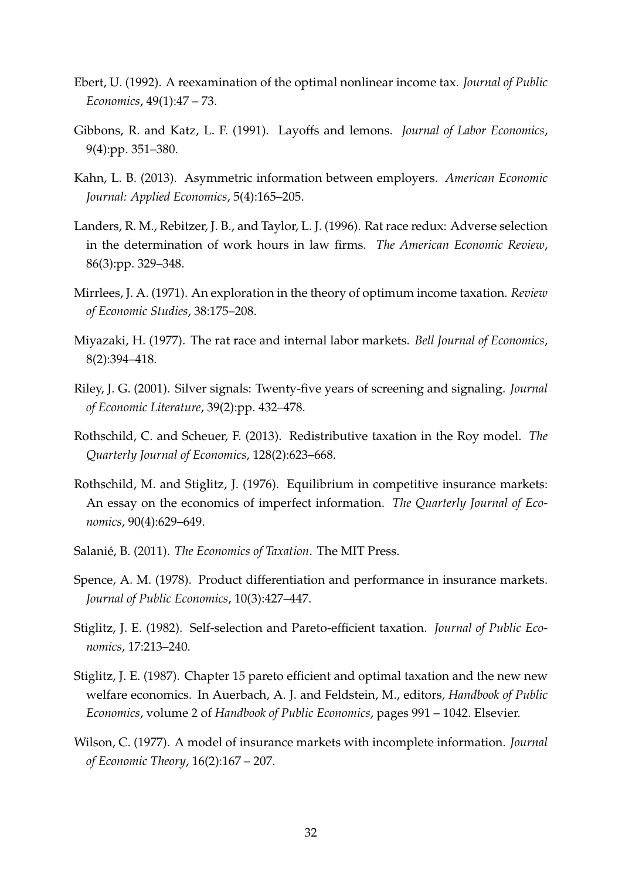- <span id="page-33-12"></span>Ebert, U. (1992). A reexamination of the optimal nonlinear income tax. *Journal of Public Economics*, 49(1):47 – 73.
- <span id="page-33-5"></span>Gibbons, R. and Katz, L. F. (1991). Layoffs and lemons. *Journal of Labor Economics*, 9(4):pp. 351–380.
- <span id="page-33-6"></span>Kahn, L. B. (2013). Asymmetric information between employers. *American Economic Journal: Applied Economics*, 5(4):165–205.
- <span id="page-33-4"></span>Landers, R. M., Rebitzer, J. B., and Taylor, L. J. (1996). Rat race redux: Adverse selection in the determination of work hours in law firms. *The American Economic Review*, 86(3):pp. 329–348.
- <span id="page-33-8"></span>Mirrlees, J. A. (1971). An exploration in the theory of optimum income taxation. *Review of Economic Studies*, 38:175–208.
- <span id="page-33-1"></span>Miyazaki, H. (1977). The rat race and internal labor markets. *Bell Journal of Economics*, 8(2):394–418.
- <span id="page-33-10"></span>Riley, J. G. (2001). Silver signals: Twenty-five years of screening and signaling. *Journal of Economic Literature*, 39(2):pp. 432–478.
- <span id="page-33-0"></span>Rothschild, C. and Scheuer, F. (2013). Redistributive taxation in the Roy model. *The Quarterly Journal of Economics*, 128(2):623–668.
- <span id="page-33-9"></span>Rothschild, M. and Stiglitz, J. (1976). Equilibrium in competitive insurance markets: An essay on the economics of imperfect information. *The Quarterly Journal of Economics*, 90(4):629–649.
- <span id="page-33-7"></span>Salanié, B. (2011). *The Economics of Taxation*. The MIT Press.
- <span id="page-33-3"></span>Spence, A. M. (1978). Product differentiation and performance in insurance markets. *Journal of Public Economics*, 10(3):427–447.
- <span id="page-33-11"></span>Stiglitz, J. E. (1982). Self-selection and Pareto-efficient taxation. *Journal of Public Economics*, 17:213–240.
- Stiglitz, J. E. (1987). Chapter 15 pareto efficient and optimal taxation and the new new welfare economics. In Auerbach, A. J. and Feldstein, M., editors, *Handbook of Public Economics*, volume 2 of *Handbook of Public Economics*, pages 991 – 1042. Elsevier.
- <span id="page-33-2"></span>Wilson, C. (1977). A model of insurance markets with incomplete information. *Journal of Economic Theory*, 16(2):167 – 207.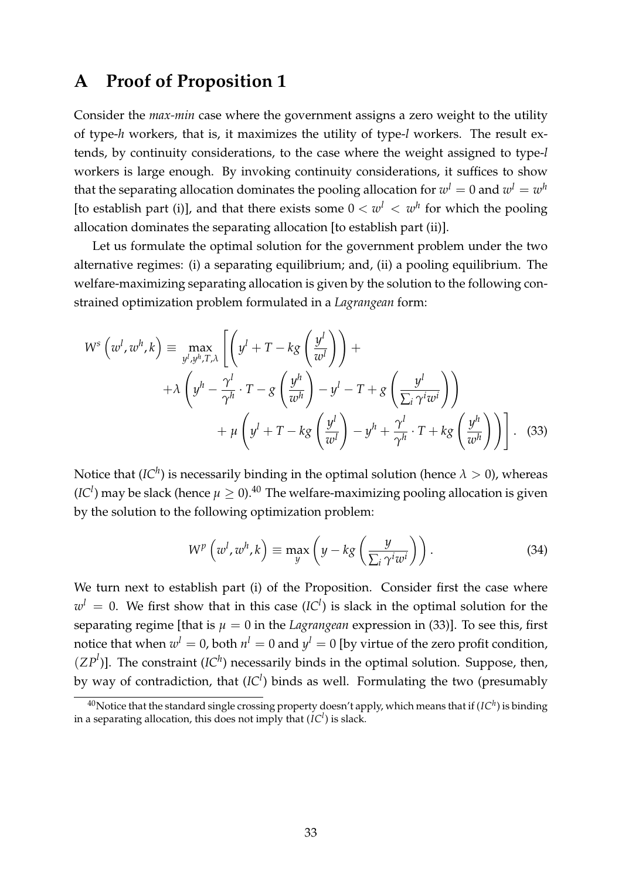# <span id="page-34-0"></span>**A Proof of Proposition [1](#page-14-0)**

Consider the *max-min* case where the government assigns a zero weight to the utility of type-*h* workers, that is, it maximizes the utility of type-*l* workers. The result extends, by continuity considerations, to the case where the weight assigned to type-*l* workers is large enough. By invoking continuity considerations, it suffices to show that the separating allocation dominates the pooling allocation for  $w^l = 0$  and  $w^l = w^h$ [to establish part (i)], and that there exists some  $0 < w<sup>l</sup> < w<sup>h</sup>$  for which the pooling allocation dominates the separating allocation [to establish part (ii)].

Let us formulate the optimal solution for the government problem under the two alternative regimes: (i) a separating equilibrium; and, (ii) a pooling equilibrium. The welfare-maximizing separating allocation is given by the solution to the following constrained optimization problem formulated in a *Lagrangean* form:

$$
W^{s}\left(w^{l}, w^{h}, k\right) \equiv \max_{y^{l}, y^{h}, T, \lambda} \left[ \left(y^{l} + T - kg\left(\frac{y^{l}}{w^{l}}\right)\right) + \\ + \lambda \left(y^{h} - \frac{\gamma^{l}}{\gamma^{h}} \cdot T - g\left(\frac{y^{h}}{w^{h}}\right) - y^{l} - T + g\left(\frac{y^{l}}{\sum_{i} \gamma^{i} w^{i}}\right)\right) + \mu \left(y^{l} + T - kg\left(\frac{y^{l}}{w^{l}}\right) - y^{h} + \frac{\gamma^{l}}{\gamma^{h}} \cdot T + kg\left(\frac{y^{h}}{w^{h}}\right)\right) \right].
$$
 (33)

Notice that  $({\cal I} C^h)$  is necessarily binding in the optimal solution (hence  $\lambda > 0$ ), whereas  $(IC<sup>l</sup>)$  may be slack (hence  $\mu \geq 0$ ).<sup>40</sup> The welfare-maximizing pooling allocation is given by the solution to the following optimization problem:

<span id="page-34-2"></span><span id="page-34-1"></span>
$$
W^{p}\left(w^{l}, w^{h}, k\right) \equiv \max_{y} \left(y - k g\left(\frac{y}{\sum_{i} \gamma^{i} w^{i}}\right)\right). \tag{34}
$$

We turn next to establish part (i) of the Proposition. Consider first the case where  $w^l = 0$ . We first show that in this case  $(IC^l)$  is slack in the optimal solution for the separating regime [that is  $\mu = 0$  in the *Lagrangean* expression in [\(33\)](#page-34-1)]. To see this, first notice that when  $w^l = 0$ , both  $n^l = 0$  and  $y^l = 0$  [by virtue of the zero profit condition,  $(ZP<sup>l</sup>)$ ]. The constraint  $(IC<sup>h</sup>)$  necessarily binds in the optimal solution. Suppose, then, by way of contradiction, that (*IC<sup>l</sup>* ) binds as well. Formulating the two (presumably

<sup>&</sup>lt;sup>40</sup>Notice that the standard single crossing property doesn't apply, which means that if  $(IC^h)$  is binding in a separating allocation, this does not imply that  $(\overline{IC}^l)$  is slack.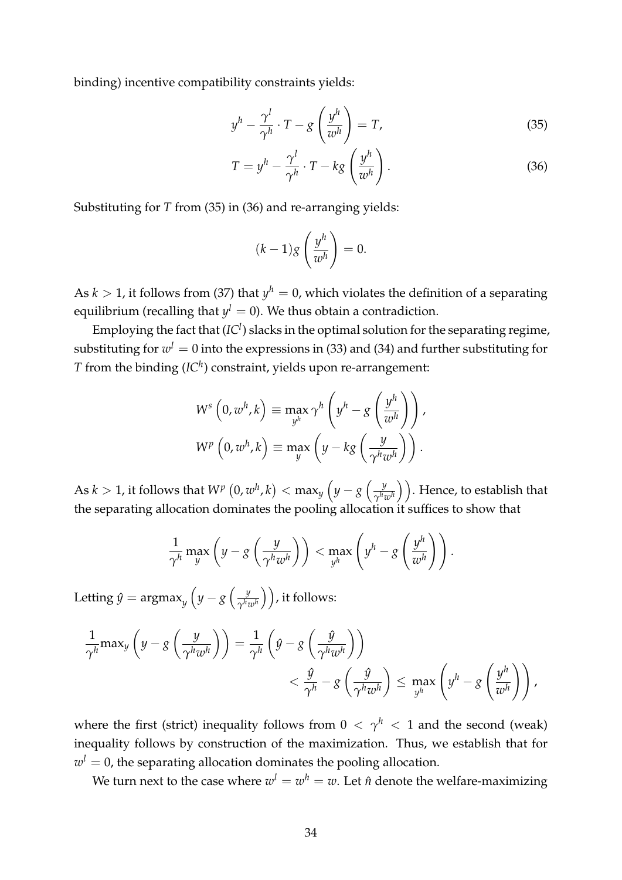binding) incentive compatibility constraints yields:

<span id="page-35-0"></span>
$$
y^h - \frac{\gamma^l}{\gamma^h} \cdot T - g\left(\frac{y^h}{w^h}\right) = T,\tag{35}
$$

$$
T = y^h - \frac{\gamma^l}{\gamma^h} \cdot T - k g\left(\frac{y^h}{w^h}\right). \tag{36}
$$

Substituting for *T* from [\(35\)](#page-35-0) in [\(36\)](#page-35-1) and re-arranging yields:

<span id="page-35-1"></span>
$$
(k-1)g\left(\frac{y^h}{w^h}\right)=0.
$$

As  $k > 1$ , it follows from [\(37\)](#page-36-0) that  $y^h = 0$ , which violates the definition of a separating equilibrium (recalling that  $y^l = 0$ ). We thus obtain a contradiction.

Employing the fact that (*IC<sup>l</sup>*) slacks in the optimal solution for the separating regime, substituting for  $w^l = 0$  into the expressions in [\(33\)](#page-34-1) and [\(34\)](#page-34-2) and further substituting for *T* from the binding  *constraint, yields upon re-arrangement:* 

$$
W^{s} (0, w^{h}, k) \equiv \max_{y^{h}} \gamma^{h} \left( y^{h} - g \left( \frac{y^{h}}{w^{h}} \right) \right),
$$
  

$$
W^{p} (0, w^{h}, k) \equiv \max_{y} \left( y - kg \left( \frac{y}{\gamma^{h} w^{h}} \right) \right).
$$

As  $k > 1$ , it follows that  $W^p\left(0, w^h, k\right) < \max_y \left(y - g\left(\frac{y}{\gamma^{h_q}}\right)\right)$  $(\frac{y}{\gamma^h w^h})$ ). Hence, to establish that the separating allocation dominates the pooling allocation it suffices to show that

$$
\frac{1}{\gamma^h} \max_{y} \left( y - g\left(\frac{y}{\gamma^h w^h}\right) \right) < \max_{y^h} \left( y^h - g\left(\frac{y^h}{w^h}\right) \right).
$$

Letting  $\hat{y} = \text{argmax}_y \left( y - g \left( \frac{y}{\gamma^h i} \right) \right)$  $\left(\frac{y}{\gamma^h w^h}\right)\Big)$ , it follows:

$$
\frac{1}{\gamma^h} \max_{y} \left( y - g\left(\frac{y}{\gamma^h w^h} \right) \right) = \frac{1}{\gamma^h} \left( \hat{y} - g\left(\frac{\hat{y}}{\gamma^h w^h} \right) \right)
$$
  

$$
< \frac{\hat{y}}{\gamma^h} - g\left(\frac{\hat{y}}{\gamma^h w^h} \right) \le \max_{y^h} \left( y^h - g\left(\frac{y^h}{w^h} \right) \right),
$$

where the first (strict) inequality follows from  $0 < \gamma^h < 1$  and the second (weak) inequality follows by construction of the maximization. Thus, we establish that for  $w<sup>l</sup> = 0$ , the separating allocation dominates the pooling allocation.

We turn next to the case where  $w^l = w^h = w$ . Let  $\hat{n}$  denote the welfare-maximizing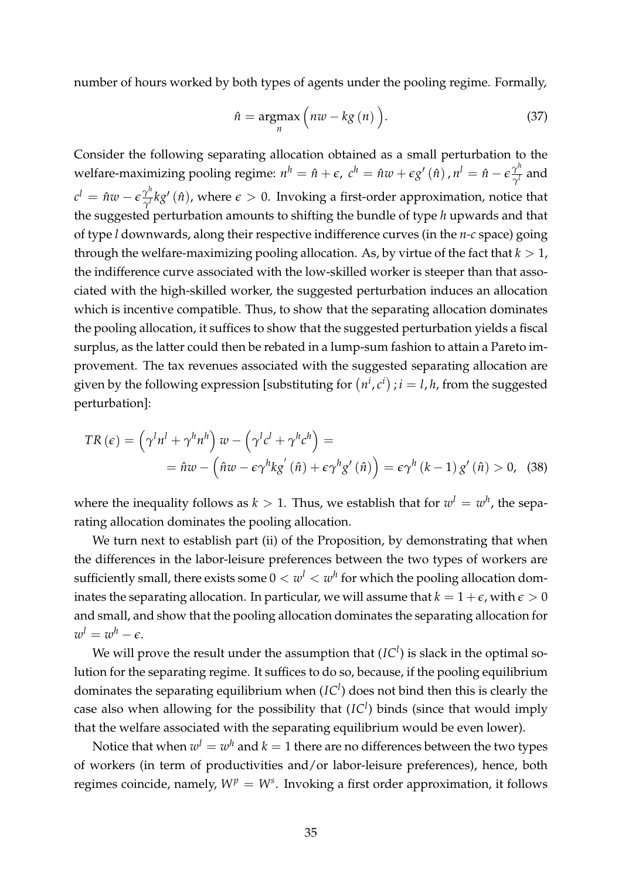number of hours worked by both types of agents under the pooling regime. Formally,

<span id="page-36-0"></span>
$$
\hat{n} = \underset{n}{\operatorname{argmax}} \left( n w - k g\left( n \right) \right). \tag{37}
$$

Consider the following separating allocation obtained as a small perturbation to the welfare-maximizing pooling regime:  $n^h = \hat{n} + \epsilon$ ,  $c^h = \hat{n}w + \epsilon g'(\hat{n})$  ,  $n^l = \hat{n} - \epsilon \frac{\gamma^h}{\gamma^l}$  and  $c^l = \hat{n}w - \epsilon \frac{\gamma^h}{\gamma^l} k g' \left( \hat{n} \right)$ , where  $\epsilon > 0$ . Invoking a first-order approximation, notice that the suggested perturbation amounts to shifting the bundle of type *h* upwards and that of type *l* downwards, along their respective indifference curves (in the *n-c* space) going through the welfare-maximizing pooling allocation. As, by virtue of the fact that  $k > 1$ , the indifference curve associated with the low-skilled worker is steeper than that associated with the high-skilled worker, the suggested perturbation induces an allocation which is incentive compatible. Thus, to show that the separating allocation dominates the pooling allocation, it suffices to show that the suggested perturbation yields a fiscal surplus, as the latter could then be rebated in a lump-sum fashion to attain a Pareto improvement. The tax revenues associated with the suggested separating allocation are given by the following expression [substituting for  $(n^i, c^i)$ ;  $i = l, h$ , from the suggested perturbation]:

$$
TR(\epsilon) = \left(\gamma^l n^l + \gamma^h n^h\right) w - \left(\gamma^l c^l + \gamma^h c^h\right) =
$$
  
=  $\hat{n}w - \left(\hat{n}w - \epsilon \gamma^h k g'(\hat{n}) + \epsilon \gamma^h g'(\hat{n})\right) = \epsilon \gamma^h (k-1) g'(\hat{n}) > 0,$  (38)

where the inequality follows as  $k > 1$ . Thus, we establish that for  $w^l = w^h$ , the separating allocation dominates the pooling allocation.

We turn next to establish part (ii) of the Proposition, by demonstrating that when the differences in the labor-leisure preferences between the two types of workers are sufficiently small, there exists some  $0 < w<sup>l</sup> < w<sup>h</sup>$  for which the pooling allocation dominates the separating allocation. In particular, we will assume that  $k = 1 + \epsilon$ , with  $\epsilon > 0$ and small, and show that the pooling allocation dominates the separating allocation for  $w^l = w^h - \epsilon.$ 

We will prove the result under the assumption that  $(IC<sup>l</sup>)$  is slack in the optimal solution for the separating regime. It suffices to do so, because, if the pooling equilibrium dominates the separating equilibrium when (*IC<sup>l</sup>* ) does not bind then this is clearly the case also when allowing for the possibility that  $(IC<sup>l</sup>)$  binds (since that would imply that the welfare associated with the separating equilibrium would be even lower).

Notice that when  $w^l = w^h$  and  $k = 1$  there are no differences between the two types of workers (in term of productivities and/or labor-leisure preferences), hence, both regimes coincide, namely,  $W^p = W^s$ . Invoking a first order approximation, it follows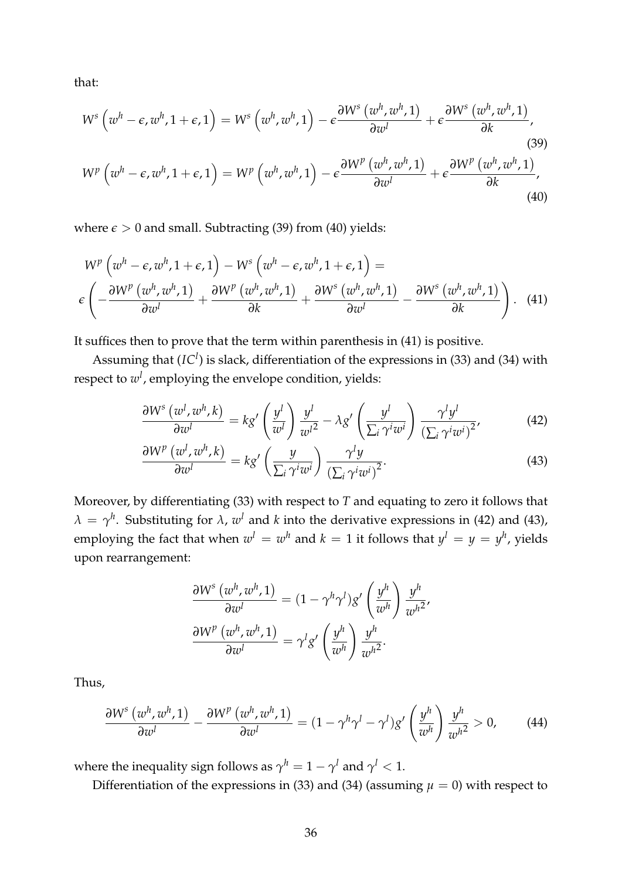that:

<span id="page-37-0"></span>
$$
W^{s}\left(w^{h}-\epsilon,w^{h},1+\epsilon,1\right)=W^{s}\left(w^{h},w^{h},1\right)-\epsilon\frac{\partial W^{s}\left(w^{h},w^{h},1\right)}{\partial w^{l}}+\epsilon\frac{\partial W^{s}\left(w^{h},w^{h},1\right)}{\partial k},
$$
\n
$$
W^{p}\left(w^{h}-\epsilon,w^{h},1+\epsilon,1\right)=W^{p}\left(w^{h},w^{h},1\right)-\epsilon\frac{\partial W^{p}\left(w^{h},w^{h},1\right)}{\partial w^{l}}+\epsilon\frac{\partial W^{p}\left(w^{h},w^{h},1\right)}{\partial k},
$$
\n(39)

where  $\epsilon > 0$  and small. Subtracting [\(39\)](#page-37-0) from [\(40\)](#page-37-1) yields:

$$
W^{p}\left(w^{h}-\epsilon,w^{h},1+\epsilon,1\right)-W^{s}\left(w^{h}-\epsilon,w^{h},1+\epsilon,1\right)=\epsilon\left(-\frac{\partial W^{p}\left(w^{h},w^{h},1\right)}{\partial w^{l}}+\frac{\partial W^{p}\left(w^{h},w^{h},1\right)}{\partial k}+\frac{\partial W^{s}\left(w^{h},w^{h},1\right)}{\partial w^{l}}-\frac{\partial W^{s}\left(w^{h},w^{h},1\right)}{\partial k}\right).
$$
 (41)

It suffices then to prove that the term within parenthesis in [\(41\)](#page-37-2) is positive.

Assuming that (*IC<sup>l</sup>*) is slack, differentiation of the expressions in [\(33\)](#page-34-1) and [\(34\)](#page-34-2) with respect to *w<sup>l</sup>* , employing the envelope condition, yields:

<span id="page-37-2"></span><span id="page-37-1"></span>
$$
\frac{\partial W^s (w^l, w^h, k)}{\partial w^l} = kg' \left(\frac{y^l}{w^l}\right) \frac{y^l}{w^l^2} - \lambda g' \left(\frac{y^l}{\sum_i \gamma^i w^i}\right) \frac{\gamma^l y^l}{\left(\sum_i \gamma^i w^i\right)^2},\tag{42}
$$

$$
\frac{\partial W^p(w^l, w^h, k)}{\partial w^l} = k g' \left(\frac{y}{\sum_i \gamma^i w^i}\right) \frac{\gamma^l y}{\left(\sum_i \gamma^i w^i\right)^2}.
$$
\n(43)

Moreover, by differentiating [\(33\)](#page-34-1) with respect to *T* and equating to zero it follows that  $\lambda = \gamma^h$ . Substituting for  $\lambda$ ,  $w^l$  and *k* into the derivative expressions in [\(42\)](#page-37-3) and [\(43\)](#page-37-4), employing the fact that when  $w^l = w^h$  and  $k = 1$  it follows that  $y^l = y = y^h$ , yields upon rearrangement:

<span id="page-37-5"></span><span id="page-37-4"></span><span id="page-37-3"></span>
$$
\frac{\partial W^s (w^h, w^h, 1)}{\partial w^l} = (1 - \gamma^h \gamma^l) g' \left(\frac{y^h}{w^h}\right) \frac{y^h}{w^{h^2}},
$$

$$
\frac{\partial W^p (w^h, w^h, 1)}{\partial w^l} = \gamma^l g' \left(\frac{y^h}{w^h}\right) \frac{y^h}{w^{h^2}}.
$$

Thus,

$$
\frac{\partial W^s (w^h, w^h, 1)}{\partial w^l} - \frac{\partial W^p (w^h, w^h, 1)}{\partial w^l} = (1 - \gamma^h \gamma^l - \gamma^l) g' \left(\frac{y^h}{w^h}\right) \frac{y^h}{w^{h^2}} > 0, \quad (44)
$$

where the inequality sign follows as  $\gamma^h = 1 - \gamma^l$  and  $\gamma^l < 1$ .

Differentiation of the expressions in [\(33\)](#page-34-1) and [\(34\)](#page-34-2) (assuming  $\mu = 0$ ) with respect to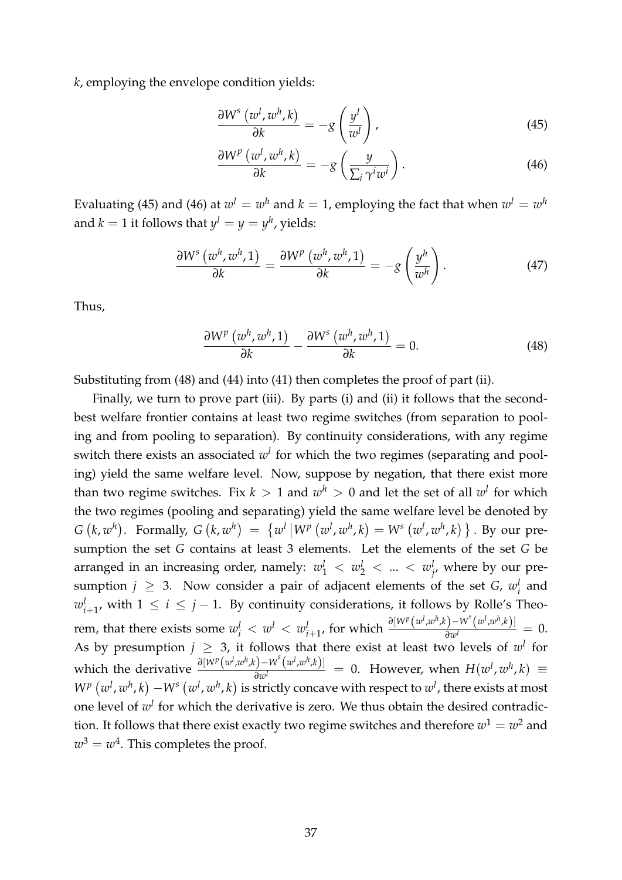*k*, employing the envelope condition yields:

<span id="page-38-0"></span>
$$
\frac{\partial W^s (w^l, w^h, k)}{\partial k} = -g \left( \frac{y^l}{w^l} \right),\tag{45}
$$

<span id="page-38-1"></span>
$$
\frac{\partial W^p(w^l, w^h, k)}{\partial k} = -g\left(\frac{y}{\sum_i \gamma^i w^i}\right). \tag{46}
$$

Evaluating [\(45\)](#page-38-0) and [\(46\)](#page-38-1) at  $w^l = w^h$  and  $k = 1$ , employing the fact that when  $w^l = w^h$ and  $k = 1$  it follows that  $\psi^l = \psi = \psi^h$ , yields:

$$
\frac{\partial W^s (w^h, w^h, 1)}{\partial k} = \frac{\partial W^p (w^h, w^h, 1)}{\partial k} = -g \left( \frac{y^h}{w^h} \right). \tag{47}
$$

Thus,

<span id="page-38-2"></span>
$$
\frac{\partial W^{p}(w^{h},w^{h},1)}{\partial k}-\frac{\partial W^{s}(w^{h},w^{h},1)}{\partial k}=0.
$$
\n(48)

Substituting from [\(48\)](#page-38-2) and [\(44\)](#page-37-5) into [\(41\)](#page-37-2) then completes the proof of part (ii).

Finally, we turn to prove part (iii). By parts (i) and (ii) it follows that the secondbest welfare frontier contains at least two regime switches (from separation to pooling and from pooling to separation). By continuity considerations, with any regime switch there exists an associated *w<sup>l</sup>* for which the two regimes (separating and pooling) yield the same welfare level. Now, suppose by negation, that there exist more than two regime switches. Fix  $k > 1$  and  $w<sup>h</sup> > 0$  and let the set of all  $w<sup>l</sup>$  for which the two regimes (pooling and separating) yield the same welfare level be denoted by  $G(k, w^h)$ . Formally,  $G(k, w^h) = \{w^l | W^p(w^l, w^h, k) = W^s(w^l, w^h, k)\}$ . By our presumption the set *G* contains at least 3 elements. Let the elements of the set *G* be arranged in an increasing order, namely:  $w_1^l$   $< w_2^l$   $< ... < w_j^l$ , where by our presumption  $j \geq 3$ . Now consider a pair of adjacent elements of the set *G*,  $w_i^l$  and  $w_{i+1}^l$ , with  $1 \leq i \leq j-1$ . By continuity considerations, it follows by Rolle's Theorem, that there exists some  $w_i^l < w_i^l < w_{i+1}^l$ , for which  $\frac{\partial [W^p(w^l,w^h,k)-W^s(w^l,w^h,k)]}{\partial w^l} = 0$ . As by presumption  $j \geq 3$ , it follows that there exist at least two levels of  $w^l$  for which the derivative  $\frac{\partial [W^p(w^l,w^h,k)-W^s(w^l,w^h,k)]}{\partial w^l}$  = 0. However, when  $H(w^l,w^h,k)$  =  $W^{p}\left(w^{l},w^{h},k\right)-W^{s}\left(w^{l},w^{h},k\right)$  is strictly concave with respect to  $w^{l}$ , there exists at most one level of *w<sup>l</sup>* for which the derivative is zero. We thus obtain the desired contradiction. It follows that there exist exactly two regime switches and therefore  $w^1 = w^2$  and  $w^3 = w^4$ . This completes the proof.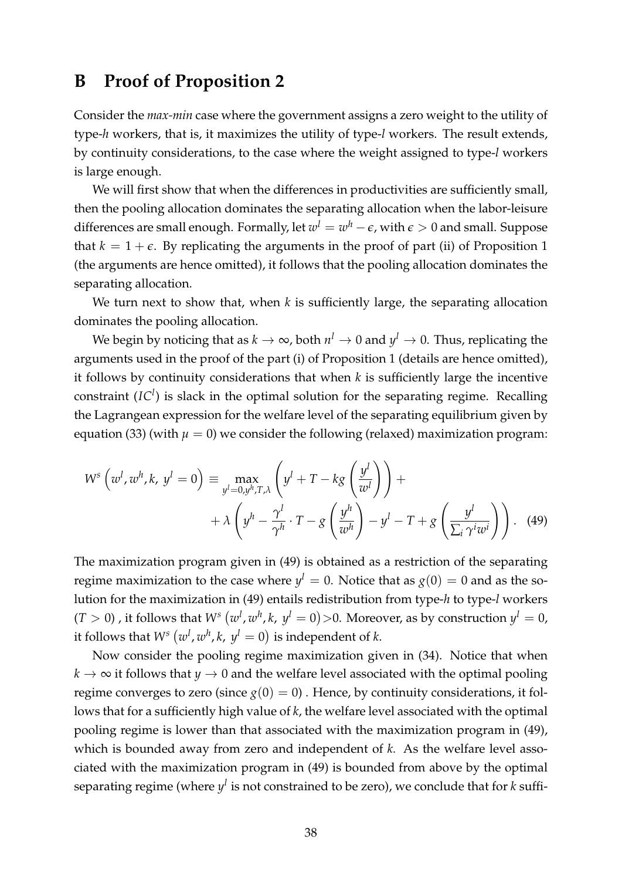### <span id="page-39-0"></span>**B Proof of Proposition [2](#page-14-1)**

Consider the *max-min* case where the government assigns a zero weight to the utility of type-*h* workers, that is, it maximizes the utility of type-*l* workers. The result extends, by continuity considerations, to the case where the weight assigned to type-*l* workers is large enough.

We will first show that when the differences in productivities are sufficiently small, then the pooling allocation dominates the separating allocation when the labor-leisure differences are small enough. Formally, let  $w^l = w^h - \epsilon$ , with  $\epsilon > 0$  and small. Suppose that  $k = 1 + \epsilon$ . By replicating the arguments in the proof of part (ii) of Proposition 1 (the arguments are hence omitted), it follows that the pooling allocation dominates the separating allocation.

We turn next to show that, when *k* is sufficiently large, the separating allocation dominates the pooling allocation.

We begin by noticing that as  $k \to \infty$ , both  $n^l \to 0$  and  $y^l \to 0$ . Thus, replicating the arguments used in the proof of the part (i) of Proposition 1 (details are hence omitted), it follows by continuity considerations that when *k* is sufficiently large the incentive constraint (*IC<sup>l</sup>* ) is slack in the optimal solution for the separating regime. Recalling the Lagrangean expression for the welfare level of the separating equilibrium given by equation [\(33\)](#page-34-1) (with  $\mu = 0$ ) we consider the following (relaxed) maximization program:

<span id="page-39-1"></span>
$$
W^{s}\left(w^{l}, w^{h}, k, y^{l} = 0\right) \equiv \max_{y^{l} = 0, y^{h}, T, \lambda} \left(y^{l} + T - kg\left(\frac{y^{l}}{w^{l}}\right)\right) + \\ + \lambda \left(y^{h} - \frac{\gamma^{l}}{\gamma^{h}} \cdot T - g\left(\frac{y^{h}}{w^{h}}\right) - y^{l} - T + g\left(\frac{y^{l}}{\sum_{i} \gamma^{i} w^{i}}\right)\right). \tag{49}
$$

The maximization program given in [\(49\)](#page-39-1) is obtained as a restriction of the separating regime maximization to the case where  $y^l = 0$ . Notice that as  $g(0) = 0$  and as the solution for the maximization in [\(49\)](#page-39-1) entails redistribution from type-*h* to type-*l* workers  $(T > 0)$  , it follows that  $W^s(w^l, w^h, k, y^l = 0) > 0$ . Moreover, as by construction  $y^l = 0$ , it follows that  $W^s(w^l, w^h, k, y^l = 0)$  is independent of *k*.

Now consider the pooling regime maximization given in [\(34\)](#page-34-2). Notice that when  $k \to \infty$  it follows that  $y \to 0$  and the welfare level associated with the optimal pooling regime converges to zero (since  $g(0) = 0$ ). Hence, by continuity considerations, it follows that for a sufficiently high value of *k*, the welfare level associated with the optimal pooling regime is lower than that associated with the maximization program in [\(49\)](#page-39-1), which is bounded away from zero and independent of *k.* As the welfare level associated with the maximization program in [\(49\)](#page-39-1) is bounded from above by the optimal separating regime (where  $y^l$  is not constrained to be zero), we conclude that for *k* suffi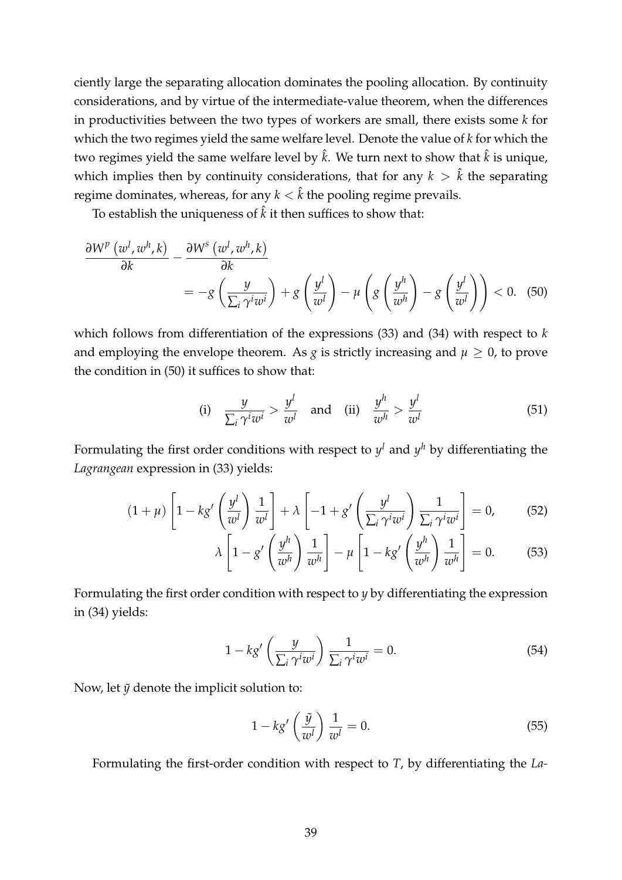ciently large the separating allocation dominates the pooling allocation. By continuity considerations, and by virtue of the intermediate-value theorem, when the differences in productivities between the two types of workers are small, there exists some *k* for which the two regimes yield the same welfare level. Denote the value of *k* for which the two regimes yield the same welfare level by  $\hat{k}$ . We turn next to show that  $\hat{k}$  is unique, which implies then by continuity considerations, that for any  $k > \hat{k}$  the separating regime dominates, whereas, for any  $k < \hat{k}$  the pooling regime prevails.

To establish the uniqueness of  $\hat{k}$  it then suffices to show that:

$$
\frac{\partial W^{p}(w^{l},w^{h},k)}{\partial k} - \frac{\partial W^{s}(w^{l},w^{h},k)}{\partial k} = -g\left(\frac{y}{\sum_{i}\gamma^{i}w^{i}}\right) + g\left(\frac{y^{l}}{w^{l}}\right) - \mu\left(g\left(\frac{y^{h}}{w^{h}}\right) - g\left(\frac{y^{l}}{w^{l}}\right)\right) < 0. \quad (50)
$$

which follows from differentiation of the expressions [\(33\)](#page-34-1) and [\(34\)](#page-34-2) with respect to *k* and employing the envelope theorem. As *g* is strictly increasing and  $\mu \geq 0$ , to prove the condition in [\(50\)](#page-40-0) it suffices to show that:

<span id="page-40-4"></span><span id="page-40-0"></span>(i) 
$$
\frac{y}{\sum_{i} \gamma^{i} w^{i}} > \frac{y^{l}}{w^{l}}
$$
 and (ii)  $\frac{y^{h}}{w^{h}} > \frac{y^{l}}{w^{l}}$  (51)

Formulating the first order conditions with respect to  $y^l$  and  $y^h$  by differentiating the *Lagrangean* expression in [\(33\)](#page-34-1) yields:

$$
(1+\mu)\left[1-kg'\left(\frac{y^l}{w^l}\right)\frac{1}{w^l}\right]+\lambda\left[-1+g'\left(\frac{y^l}{\sum_i\gamma^iw^i}\right)\frac{1}{\sum_i\gamma^iw^i}\right]=0,\qquad(52)
$$

<span id="page-40-5"></span><span id="page-40-1"></span>
$$
\lambda \left[ 1 - g' \left( \frac{y^h}{w^h} \right) \frac{1}{w^h} \right] - \mu \left[ 1 - k g' \left( \frac{y^h}{w^h} \right) \frac{1}{w^h} \right] = 0. \tag{53}
$$

Formulating the first order condition with respect to *y* by differentiating the expression in [\(34\)](#page-34-2) yields:

$$
1 - k g' \left(\frac{y}{\sum_{i} \gamma^{i} w^{i}}\right) \frac{1}{\sum_{i} \gamma^{i} w^{i}} = 0.
$$
 (54)

Now, let  $\tilde{y}$  denote the implicit solution to:

<span id="page-40-3"></span><span id="page-40-2"></span>
$$
1 - k g' \left(\frac{\tilde{y}}{w^l}\right) \frac{1}{w^l} = 0. \tag{55}
$$

Formulating the first-order condition with respect to *T*, by differentiating the *La-*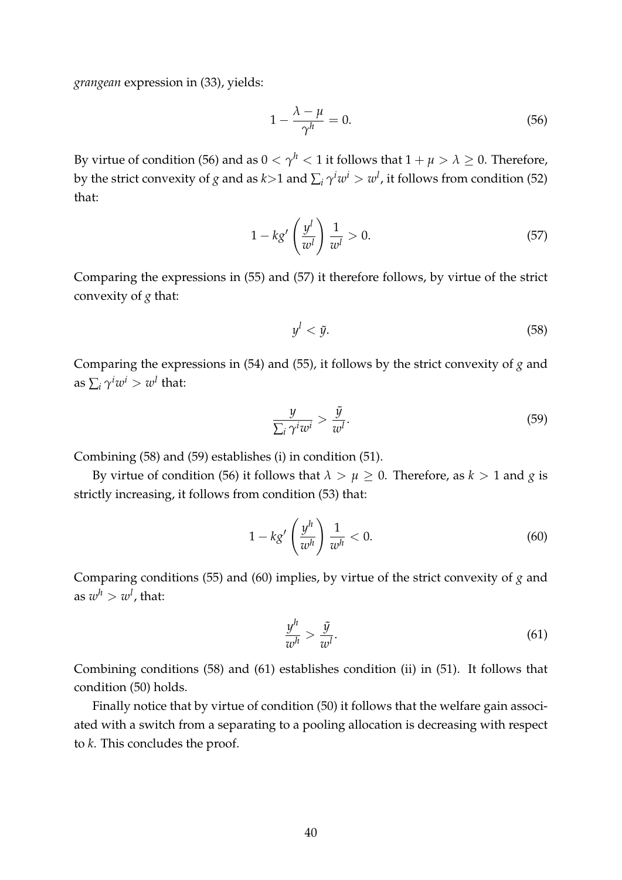*grangean* expression in [\(33\)](#page-34-1), yields:

<span id="page-41-0"></span>
$$
1 - \frac{\lambda - \mu}{\gamma^h} = 0. \tag{56}
$$

By virtue of condition [\(56\)](#page-41-0) and as  $0 < \gamma^h < 1$  it follows that  $1 + \mu > \lambda \geq 0$ . Therefore, by the strict convexity of  $g$  and as  $k$ >1 and  $\sum_i \gamma^i w^i > w^l$ , it follows from condition [\(52\)](#page-40-1) that:

$$
1 - k g' \left(\frac{y^l}{w^l}\right) \frac{1}{w^l} > 0. \tag{57}
$$

Comparing the expressions in [\(55\)](#page-40-2) and [\(57\)](#page-41-1) it therefore follows, by virtue of the strict convexity of *g* that:

<span id="page-41-3"></span><span id="page-41-2"></span><span id="page-41-1"></span>
$$
y^l < \tilde{y}.\tag{58}
$$

Comparing the expressions in [\(54\)](#page-40-3) and [\(55\)](#page-40-2), it follows by the strict convexity of *g* and as  $\sum_i \gamma^i w^i > w^l$  that:

$$
\frac{y}{\sum_{i} \gamma^{i} w^{i}} > \frac{\tilde{y}}{w^{l}}.
$$
\n(59)

Combining [\(58\)](#page-41-2) and [\(59\)](#page-41-3) establishes (i) in condition [\(51\)](#page-40-4).

By virtue of condition [\(56\)](#page-41-0) it follows that  $\lambda > \mu \geq 0$ . Therefore, as  $k > 1$  and *g* is strictly increasing, it follows from condition [\(53\)](#page-40-5) that:

$$
1 - k g' \left(\frac{y^h}{w^h}\right) \frac{1}{w^h} < 0. \tag{60}
$$

Comparing conditions [\(55\)](#page-40-2) and [\(60\)](#page-41-4) implies, by virtue of the strict convexity of *g* and as  $w^h>w^l$ , that:

<span id="page-41-5"></span><span id="page-41-4"></span>
$$
\frac{y^h}{w^h} > \frac{\tilde{y}}{w^l}.\tag{61}
$$

Combining conditions [\(58\)](#page-41-2) and [\(61\)](#page-41-5) establishes condition (ii) in [\(51\)](#page-40-4). It follows that condition [\(50\)](#page-40-0) holds.

Finally notice that by virtue of condition [\(50\)](#page-40-0) it follows that the welfare gain associated with a switch from a separating to a pooling allocation is decreasing with respect to *k*. This concludes the proof.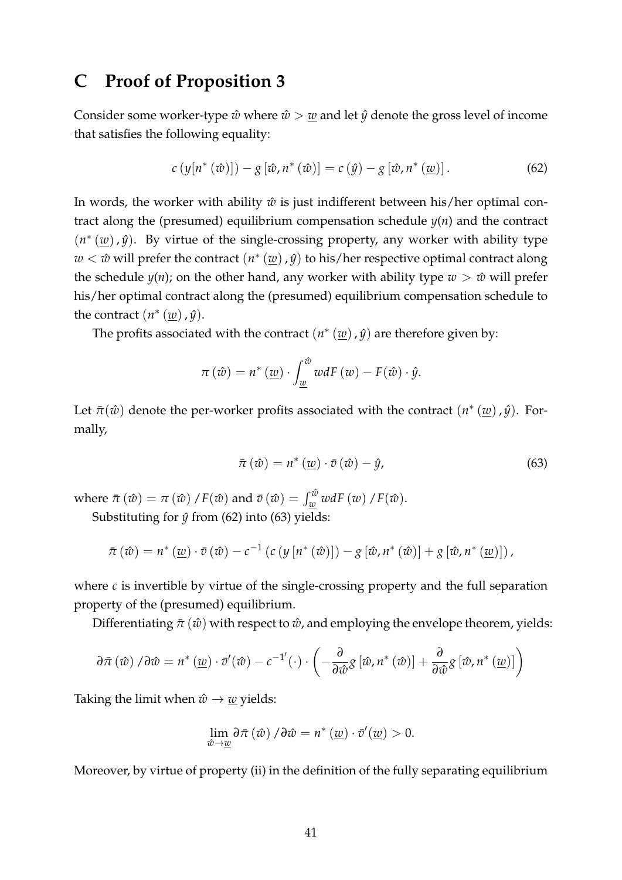### <span id="page-42-0"></span>**C Proof of Proposition [3](#page-30-0)**

Consider some worker-type  $\hat{w}$  where  $\hat{w}$   $>$   $\underline{w}$  and let  $\hat{y}$  denote the gross level of income that satisfies the following equality:

<span id="page-42-1"></span>
$$
c\left(y[n^*(\hat{w})]\right) - g\left[\hat{w}, n^*(\hat{w})\right] = c\left(\hat{y}\right) - g\left[\hat{w}, n^*(\underline{w})\right].\tag{62}
$$

In words, the worker with ability  $\hat{w}$  is just indifferent between his/her optimal contract along the (presumed) equilibrium compensation schedule *y*(*n*) and the contract  $(n<sup>*</sup> (w)$ ,  $\hat{y}$ ). By virtue of the single-crossing property, any worker with ability type  $w < \hat{w}$  will prefer the contract  $(n^*(w), \hat{y})$  to his/her respective optimal contract along the schedule  $y(n)$ ; on the other hand, any worker with ability type  $w > \hat{w}$  will prefer his/her optimal contract along the (presumed) equilibrium compensation schedule to the contract  $(n<sup>*</sup>(w), \hat{y})$ .

The profits associated with the contract  $(n<sup>*</sup> (w)$ ,  $\hat{y}$ ) are therefore given by:

$$
\pi\left(\hat{w}\right) = n^*\left(\underline{w}\right) \cdot \int_{\underline{w}}^{\hat{w}} w dF\left(w\right) - F(\hat{w}) \cdot \hat{y}.
$$

Let  $\bar{\pi}(\hat{w})$  denote the per-worker profits associated with the contract  $(n^*(\underline{w}), \hat{y})$ . Formally,

<span id="page-42-2"></span>
$$
\bar{\pi}(\hat{w}) = n^*(\underline{w}) \cdot \bar{v}(\hat{w}) - \hat{y}, \qquad (63)
$$

where  $\bar{\pi}(\hat{w}) = \pi(\hat{w}) / F(\hat{w})$  and  $\bar{v}(\hat{w}) = \int_{\underline{w}}^{\hat{w}} w dF(w) / F(\hat{w})$ . Substituting for  $\hat{y}$  from [\(62\)](#page-42-1) into [\(63\)](#page-42-2) yields:

$$
\bar{\pi}(\hat{w}) = n^* (\underline{w}) \cdot \bar{v}(\hat{w}) - c^{-1} (c (y [n^* (\hat{w})]) - g [\hat{w}, n^* (\hat{w})] + g [\hat{w}, n^* (\underline{w})])
$$

where  $c$  is invertible by virtue of the single-crossing property and the full separation property of the (presumed) equilibrium.

Differentiating  $\bar{\pi}$  ( $\hat{w}$ ) with respect to  $\hat{w}$ , and employing the envelope theorem, yields:

$$
\partial \bar{\pi} \left( \hat{w} \right) / \partial \hat{w} = n^* \left( \underline{w} \right) \cdot \bar{v}'(\hat{w}) - c^{-1'} \left( \cdot \right) \cdot \left( -\frac{\partial}{\partial \hat{w}} g \left[ \hat{w}, n^* \left( \hat{w} \right) \right] + \frac{\partial}{\partial \hat{w}} g \left[ \hat{w}, n^* \left( \underline{w} \right) \right] \right)
$$

Taking the limit when  $\hat{w} \rightarrow \hat{w}$  yields:

$$
\lim_{\hat{w}\to\underline{w}}\partial\bar{\pi}(\hat{w})/\partial\hat{w}=n^*(\underline{w})\cdot\bar{v}'(\underline{w})>0.
$$

Moreover, by virtue of property (ii) in the definition of the fully separating equilibrium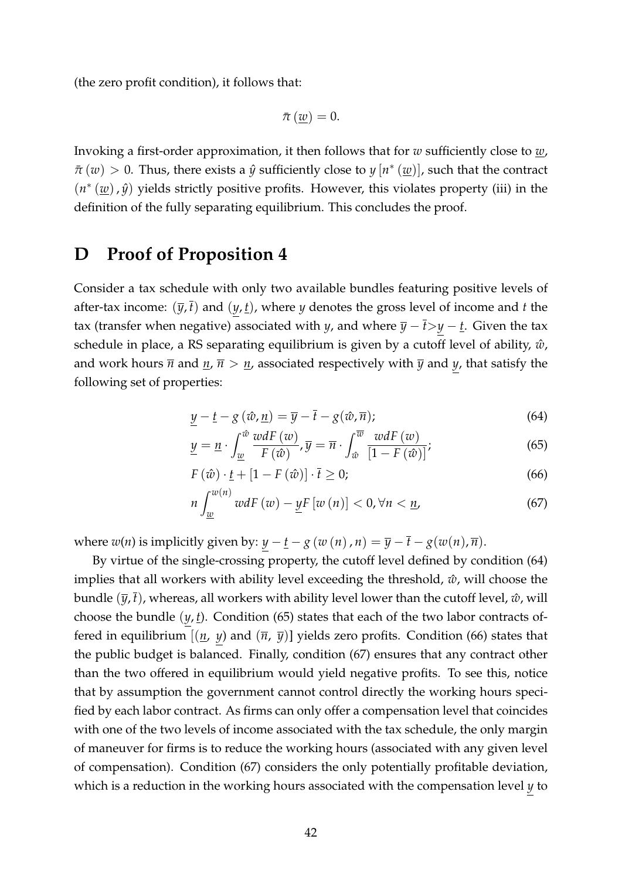(the zero profit condition), it follows that:

$$
\bar{\pi}(\underline{w})=0.
$$

Invoking a first-order approximation, it then follows that for *w* sufficiently close to *w*,  $\bar{\pi}$  (*w*) > 0. Thus, there exists a  $\hat{y}$  sufficiently close to  $y[n^*(\underline{w})]$ , such that the contract  $(n<sup>*</sup> (w)$ ,  $\hat{y}$ ) yields strictly positive profits. However, this violates property (iii) in the definition of the fully separating equilibrium. This concludes the proof.

# <span id="page-43-0"></span>**D Proof of Proposition [4](#page-31-1)**

Consider a tax schedule with only two available bundles featuring positive levels of after-tax income:  $(\bar{y}, \bar{t})$  and  $(y, t)$ , where *y* denotes the gross level of income and *t* the tax (transfer when negative) associated with *y*, and where  $\overline{y} - \overline{t} > y - \underline{t}$ . Given the tax schedule in place, a RS separating equilibrium is given by a cutoff level of ability,  $\hat{w}$ , and work hours  $\overline{n}$  and  $\underline{n}$ ,  $\overline{n} > \underline{n}$ , associated respectively with  $\overline{y}$  and  $y$ , that satisfy the following set of properties:

<span id="page-43-2"></span><span id="page-43-1"></span>
$$
\underline{y} - \underline{t} - g\left(\hat{w}, \underline{n}\right) = \overline{y} - \overline{t} - g(\hat{w}, \overline{n});\tag{64}
$$

$$
\underline{y} = \underline{n} \cdot \int_{\underline{w}}^{\hat{w}} \frac{wdF(w)}{F(\hat{w})}, \overline{y} = \overline{n} \cdot \int_{\hat{w}}^{\overline{w}} \frac{wdF(w)}{[1 - F(\hat{w})]};
$$
(65)

<span id="page-43-3"></span>
$$
F(\hat{w}) \cdot \underline{t} + [1 - F(\hat{w})] \cdot \overline{t} \ge 0; \tag{66}
$$

<span id="page-43-4"></span>
$$
n\int_{\underline{w}}^{w(n)}\,wdF\left(w\right)-\underline{y}F\left[w\left(n\right)\right]<0,\forall n<\underline{n},\tag{67}
$$

where  $w(n)$  is implicitly given by:  $y - \underline{t} - g(w(n), n) = \overline{y} - \overline{t} - g(w(n), \overline{n}).$ 

By virtue of the single-crossing property, the cutoff level defined by condition [\(64\)](#page-43-1) implies that all workers with ability level exceeding the threshold,  $\hat{w}$ , will choose the bundle  $(\bar{y}, t)$ , whereas, all workers with ability level lower than the cutoff level,  $\hat{w}$ , will choose the bundle (*y*, *t*). Condition [\(65\)](#page-43-2) states that each of the two labor contracts offered in equilibrium  $[(\underline{n}, y)$  and  $(\overline{n}, \overline{y})]$  yields zero profits. Condition [\(66\)](#page-43-3) states that the public budget is balanced. Finally, condition [\(67\)](#page-43-4) ensures that any contract other than the two offered in equilibrium would yield negative profits. To see this, notice that by assumption the government cannot control directly the working hours specified by each labor contract. As firms can only offer a compensation level that coincides with one of the two levels of income associated with the tax schedule, the only margin of maneuver for firms is to reduce the working hours (associated with any given level of compensation). Condition [\(67\)](#page-43-4) considers the only potentially profitable deviation, which is a reduction in the working hours associated with the compensation level *y* to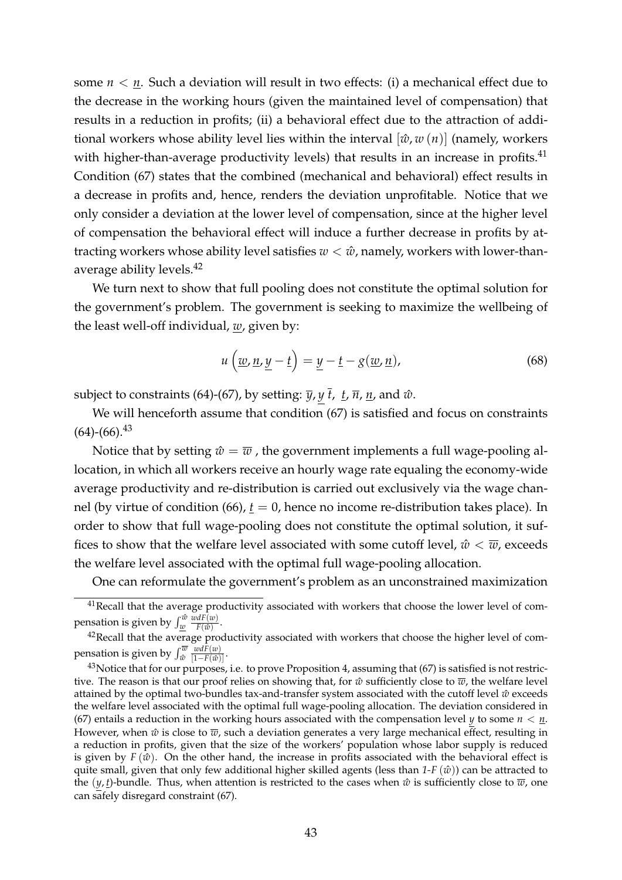some  $n < n$ . Such a deviation will result in two effects: (i) a mechanical effect due to the decrease in the working hours (given the maintained level of compensation) that results in a reduction in profits; (ii) a behavioral effect due to the attraction of additional workers whose ability level lies within the interval  $[\hat{w}, w(n)]$  (namely, workers with higher-than-average productivity levels) that results in an increase in profits. $41$ Condition [\(67\)](#page-43-4) states that the combined (mechanical and behavioral) effect results in a decrease in profits and, hence, renders the deviation unprofitable. Notice that we only consider a deviation at the lower level of compensation, since at the higher level of compensation the behavioral effect will induce a further decrease in profits by attracting workers whose ability level satisfies  $w < \hat{w}$ , namely, workers with lower-thanaverage ability levels.<sup>42</sup>

We turn next to show that full pooling does not constitute the optimal solution for the government's problem. The government is seeking to maximize the wellbeing of the least well-off individual, *w*, given by:

<span id="page-44-0"></span>
$$
u\left(\underline{w}, \underline{n}, \underline{y} - \underline{t}\right) = \underline{y} - \underline{t} - g(\underline{w}, \underline{n}),\tag{68}
$$

subject to constraints [\(64\)](#page-43-1)-[\(67\)](#page-43-4), by setting:  $\overline{y}$ ,  $y \overline{t}$ ,  $\overline{t}$ ,  $\overline{n}$ ,  $\overline{n}$ , and  $\hat{w}$ .

We will henceforth assume that condition [\(67\)](#page-43-4) is satisfied and focus on constraints  $(64)-(66).^{43}$  $(64)-(66).^{43}$  $(64)-(66).^{43}$  $(64)-(66).^{43}$ 

Notice that by setting  $\hat{w} = \overline{w}$ , the government implements a full wage-pooling allocation, in which all workers receive an hourly wage rate equaling the economy-wide average productivity and re-distribution is carried out exclusively via the wage channel (by virtue of condition  $(66)$ ,  $t = 0$ , hence no income re-distribution takes place). In order to show that full wage-pooling does not constitute the optimal solution, it suffices to show that the welfare level associated with some cutoff level,  $\hat{w} < \overline{w}$ , exceeds the welfare level associated with the optimal full wage-pooling allocation.

One can reformulate the government's problem as an unconstrained maximization

<sup>&</sup>lt;sup>41</sup>Recall that the average productivity associated with workers that choose the lower level of compensation is given by  $\int_{\underline{w}}^{\hat{w}}$  $\frac{wdF(w)}{F(\hat{w})}$ .

<sup>&</sup>lt;sup>42</sup>Recall that the average productivity associated with workers that choose the higher level of compensation is given by  $\int_{\hat{w}}^{\overline{w}}$ *wdF*(*w*)  $\frac{w u F(w)}{[1-F(\hat{w})]}$ .

<sup>&</sup>lt;sup>43</sup>Notice that for our purposes, i.e. to prove Proposition 4, assuming that [\(67\)](#page-43-4) is satisfied is not restrictive. The reason is that our proof relies on showing that, for  $\hat{w}$  sufficiently close to  $\overline{w}$ , the welfare level attained by the optimal two-bundles tax-and-transfer system associated with the cutoff level  $\hat{w}$  exceeds the welfare level associated with the optimal full wage-pooling allocation. The deviation considered in [\(67\)](#page-43-4) entails a reduction in the working hours associated with the compensation level *y* to some  $n < n$ . However, when  $\hat{w}$  is close to  $\overline{w}$ , such a deviation generates a very large mechanical effect, resulting in a reduction in profits, given that the size of the workers' population whose labor supply is reduced is given by  $F(\hat{w})$ . On the other hand, the increase in profits associated with the behavioral effect is quite small, given that only few additional higher skilled agents (less than  $1-F(\hat{w})$ ) can be attracted to the  $(y, t)$ -bundle. Thus, when attention is restricted to the cases when  $\hat{w}$  is sufficiently close to  $\overline{w}$ , one can safely disregard constraint [\(67\)](#page-43-4).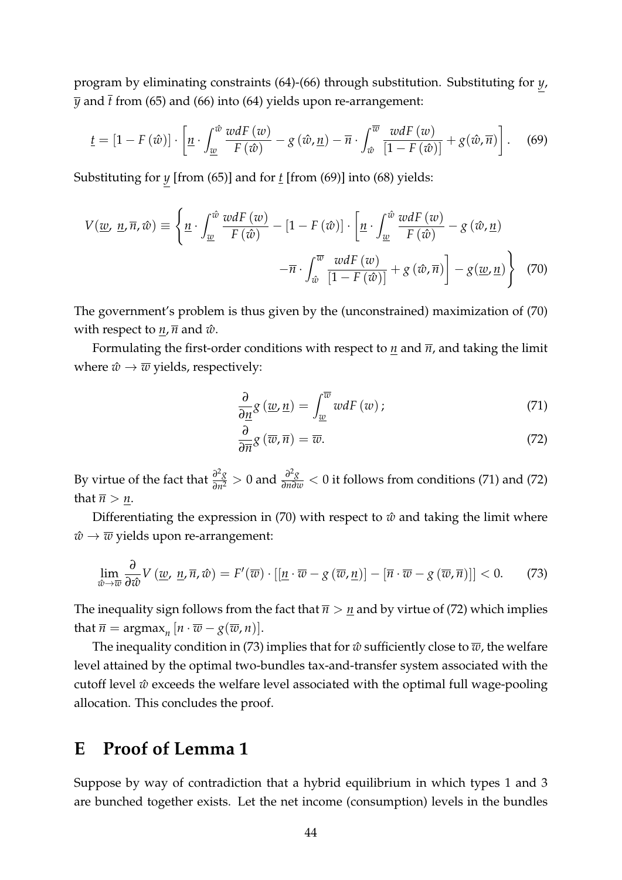program by eliminating constraints [\(64\)](#page-43-1)-[\(66\)](#page-43-3) through substitution. Substituting for *y*,  $\bar{y}$  and  $\bar{t}$  from [\(65\)](#page-43-2) and [\(66\)](#page-43-3) into [\(64\)](#page-43-1) yields upon re-arrangement:

$$
\underline{t} = \left[1 - F\left(\hat{w}\right)\right] \cdot \left[\underline{n} \cdot \int_{\underline{w}}^{\hat{w}} \frac{wdF\left(w\right)}{F\left(\hat{w}\right)} - g\left(\hat{w}, \underline{n}\right) - \overline{n} \cdot \int_{\hat{w}}^{\overline{w}} \frac{wdF\left(w\right)}{\left[1 - F\left(\hat{w}\right)\right]} + g\left(\hat{w}, \overline{n}\right)\right].\tag{69}
$$

Substituting for *y* [from [\(65\)](#page-43-2)] and for *t* [from [\(69\)](#page-45-1)] into [\(68\)](#page-44-0) yields:

$$
V(\underline{w}, \underline{n}, \overline{n}, \hat{w}) \equiv \left\{ \underline{n} \cdot \int_{\underline{w}}^{\hat{w}} \frac{wdF(\underline{w})}{F(\hat{w})} - [1 - F(\hat{w})] \cdot \left[ \underline{n} \cdot \int_{\underline{w}}^{\hat{w}} \frac{wdF(\underline{w})}{F(\hat{w})} - g(\hat{w}, \underline{n}) - \overline{n} \cdot \int_{\hat{w}}^{\overline{w}} \frac{wdF(\underline{w})}{[1 - F(\hat{w})]} + g(\hat{w}, \overline{n}) \right] - g(\underline{w}, \underline{n}) \right\}
$$
(70)

The government's problem is thus given by the (unconstrained) maximization of [\(70\)](#page-45-2) with respect to  $n, \overline{n}$  and  $\hat{w}$ .

Formulating the first-order conditions with respect to *n* and  $\overline{n}$ , and taking the limit where  $\hat{w} \rightarrow \overline{w}$  yields, respectively:

<span id="page-45-3"></span><span id="page-45-2"></span><span id="page-45-1"></span>
$$
\frac{\partial}{\partial \underline{n}} g\left(\underline{w}, \underline{n}\right) = \int_{\underline{w}}^{\overline{w}} w dF\left(w\right); \tag{71}
$$

<span id="page-45-5"></span><span id="page-45-4"></span>
$$
\frac{\partial}{\partial \overline{n}} g\left(\overline{w}, \overline{n}\right) = \overline{w}.\tag{72}
$$

By virtue of the fact that  $\frac{\partial^2 g}{\partial n^2} > 0$  and  $\frac{\partial^2 g}{\partial n \partial w} < 0$  it follows from conditions [\(71\)](#page-45-3) and [\(72\)](#page-45-4) that  $\overline{n} > n$ .

Differentiating the expression in [\(70\)](#page-45-2) with respect to  $\hat{w}$  and taking the limit where  $\hat{w} \rightarrow \overline{w}$  yields upon re-arrangement:

$$
\lim_{\hat{w}\to\overline{w}}\frac{\partial}{\partial\hat{w}}V\left(\underline{w},\,\underline{n},\overline{n},\hat{w}\right)=F'(\overline{w})\cdot\left[\left[\underline{n}\cdot\overline{w}-g\left(\overline{w},\underline{n}\right)\right]-\left[\overline{n}\cdot\overline{w}-g\left(\overline{w},\overline{n}\right)\right]\right]<0.\tag{73}
$$

The inequality sign follows from the fact that  $\overline{n} > \underline{n}$  and by virtue of [\(72\)](#page-45-4) which implies that  $\overline{n} = \argmax_{n} [n \cdot \overline{w} - g(\overline{w}, n)].$ 

The inequality condition in [\(73\)](#page-45-5) implies that for  $\hat{w}$  sufficiently close to  $\overline{w}$ , the welfare level attained by the optimal two-bundles tax-and-transfer system associated with the cutoff level  $\hat{w}$  exceeds the welfare level associated with the optimal full wage-pooling allocation. This concludes the proof.

# <span id="page-45-0"></span>**E Proof of Lemma [1](#page-21-0)**

Suppose by way of contradiction that a hybrid equilibrium in which types 1 and 3 are bunched together exists. Let the net income (consumption) levels in the bundles